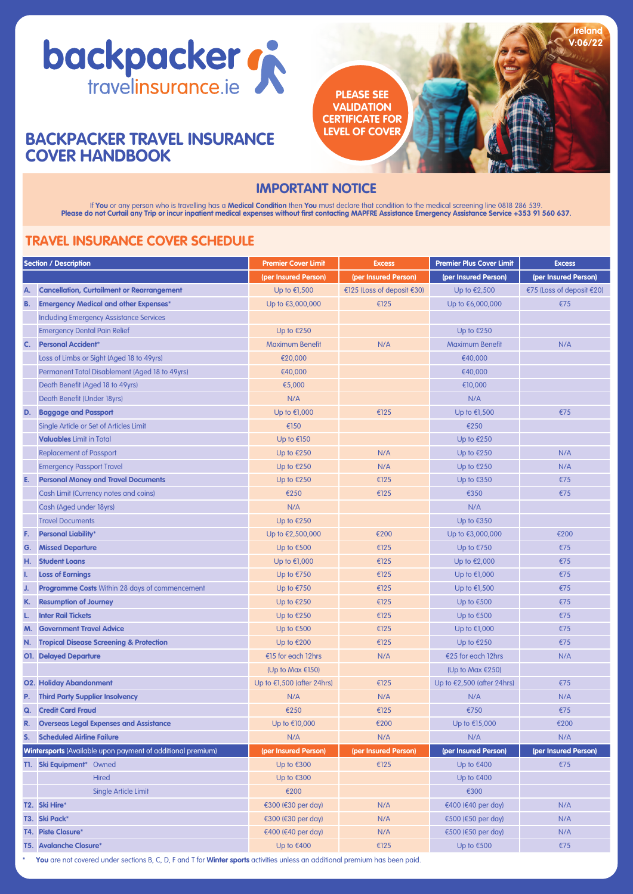

# **BACKPACKER TRAVEL INSURANCE COVER HANDBOOK**



# **IMPORTANT NOTICE**

lf You or any person who is travelling has a Medical Condition then You must declare that condition to the medical screening line 0818 286 539.<br>Please do not Curtail any Trip or incur inpatient medical expenses without fir

# **TRAVEL INSURANCE COVER SCHEDULE**

| <b>Section / Description</b>                                       |                                                       | <b>Premier Cover Limit</b>    | <b>Excess</b>              | <b>Premier Plus Cover Limit</b> | <b>Excess</b>             |
|--------------------------------------------------------------------|-------------------------------------------------------|-------------------------------|----------------------------|---------------------------------|---------------------------|
|                                                                    |                                                       | (per Insured Person)          | (per Insured Person)       | (per Insured Person)            | (per Insured Person)      |
| Α.                                                                 | <b>Cancellation, Curtailment or Rearrangement</b>     | Up to $£1,500$                | €125 (Loss of deposit €30) | Up to €2,500                    | €75 (Loss of deposit €20) |
| B.                                                                 | <b>Emergency Medical and other Expenses*</b>          | Up to €3,000,000              | €125                       | Up to €6,000,000                | €75                       |
|                                                                    | <b>Including Emergency Assistance Services</b>        |                               |                            |                                 |                           |
|                                                                    | <b>Emergency Dental Pain Relief</b>                   | Up to $€250$                  |                            | Up to $£250$                    |                           |
| C.                                                                 | <b>Personal Accident*</b>                             | <b>Maximum Benefit</b>        | N/A                        | <b>Maximum Benefit</b>          | N/A                       |
|                                                                    | Loss of Limbs or Sight (Aged 18 to 49yrs)             | €20,000                       |                            | €40,000                         |                           |
|                                                                    | Permanent Total Disablement (Aged 18 to 49yrs)        | €40,000                       |                            | €40,000                         |                           |
|                                                                    | Death Benefit (Aged 18 to 49yrs)                      | €5,000                        |                            | €10,000                         |                           |
|                                                                    | Death Benefit (Under 18yrs)                           | N/A                           |                            | N/A                             |                           |
| D.                                                                 | <b>Baggage and Passport</b>                           | Up to $€1,000$                | €125                       | Up to €1,500                    | €75                       |
|                                                                    | Single Article or Set of Articles Limit               | €150                          |                            | €250                            |                           |
|                                                                    | <b>Valuables Limit in Total</b>                       | $Up$ to €150                  |                            | Up to $£250$                    |                           |
|                                                                    | <b>Replacement of Passport</b>                        | Up to $€250$                  | N/A                        | Up to $£250$                    | N/A                       |
|                                                                    | <b>Emergency Passport Travel</b>                      | Up to $€250$                  | N/A                        | Up to $£250$                    | N/A                       |
| E.                                                                 | <b>Personal Money and Travel Documents</b>            | Up to $€250$                  | €125                       | Up to €350                      | €75                       |
|                                                                    | Cash Limit (Currency notes and coins)                 | €250                          | €125                       | €350                            | €75                       |
|                                                                    | Cash (Aged under 18yrs)                               | N/A                           |                            | N/A                             |                           |
|                                                                    | <b>Travel Documents</b>                               | Up to $£250$                  |                            | Up to $€350$                    |                           |
| F.                                                                 | <b>Personal Liability*</b>                            | Up to €2,500,000              | €200                       | Up to €3,000,000                | €200                      |
| G.                                                                 | <b>Missed Departure</b>                               | Up to $€500$                  | €125                       | Up to $E$ 750                   | €75                       |
| H.                                                                 | <b>Student Loans</b>                                  | Up to €1,000                  | €125                       | Up to €2,000                    | €75                       |
| Ι.                                                                 | <b>Loss of Earnings</b>                               | Up to $E$ 750                 | €125                       | Up to €1,000                    | €75                       |
| J.                                                                 | <b>Programme Costs Within 28 days of commencement</b> | Up to $E$ 750                 | €125                       | $Up$ to €1,500                  | €75                       |
| K.                                                                 | <b>Resumption of Journey</b>                          | Up to $£250$                  | €125                       | Up to €500                      | €75                       |
| L.                                                                 | <b>Inter Rail Tickets</b>                             | Up to $£250$                  | €125                       | Up to €500                      | €75                       |
| M.                                                                 | <b>Government Travel Advice</b>                       | Up to $€500$                  | €125                       | Up to €1,000                    | €75                       |
| N.                                                                 | <b>Tropical Disease Screening &amp; Protection</b>    | Up to €200                    | €125                       | Up to €250                      | €75                       |
|                                                                    | <b>O1.</b> Delayed Departure                          | €15 for each 12hrs            | N/A                        | €25 for each 12hrs              | N/A                       |
|                                                                    |                                                       | (Up to Max $£150$ )           |                            | (Up to Max $£250$ )             |                           |
|                                                                    | <b>O2. Holiday Abandonment</b>                        | Up to $E$ 1,500 (after 24hrs) | €125                       | Up to $£2,500$ (after 24hrs)    | €75                       |
| P.                                                                 | <b>Third Party Supplier Insolvency</b>                | N/A                           | N/A                        | N/A                             | N/A                       |
| Q.                                                                 | <b>Credit Card Fraud</b>                              | €250                          | €125                       | €750                            | €75                       |
| R.                                                                 | <b>Overseas Legal Expenses and Assistance</b>         | Up to €10,000                 | €200                       | Up to €15,000                   | €200                      |
| S.                                                                 | <b>Scheduled Airline Failure</b>                      | N/A                           | N/A                        | N/A                             | N/A                       |
| <b>Wintersports</b> (Available upon payment of additional premium) |                                                       | (per Insured Person)          | (per Insured Person)       | (per Insured Person)            | (per Insured Person)      |
|                                                                    | T1. Ski Equipment* Owned                              | $Up$ to €300                  | €125                       | Up to $€400$                    | €75                       |
|                                                                    | <b>Hired</b>                                          | $Up$ to €300                  |                            | Up to €400                      |                           |
|                                                                    | <b>Single Article Limit</b>                           | €200                          |                            | €300                            |                           |
|                                                                    | T2. Ski Hire*                                         | €300 (€30 per day)            | N/A                        | €400 (€40 per day)              | N/A                       |
|                                                                    | T3. Ski Pack*                                         | €300 (€30 per day)            | N/A                        | €500 (€50 per day)              | N/A                       |
|                                                                    | <b>T4. Piste Closure*</b>                             | €400 (€40 per day)            | N/A                        | €500 (€50 per day)              | N/A                       |
|                                                                    | <b>T5. Avalanche Closure*</b>                         | Up to €400                    | €125                       | Up to €500                      | €75                       |

1

\* **You** are not covered under sections B, C, D, F and T for **Winter sports** activities unless an additional premium has been paid.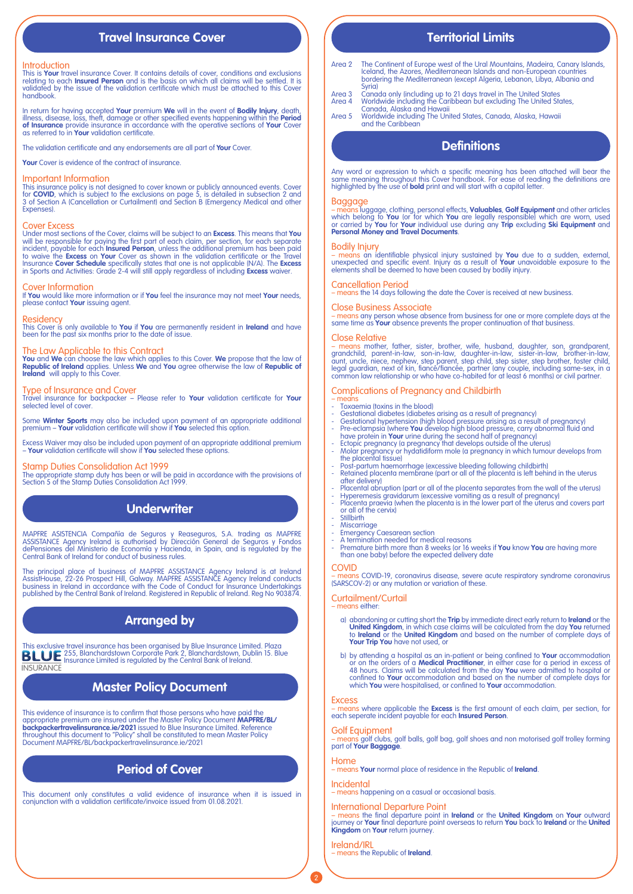# **Travel Insurance Cover**

### Introduction

This is **Your** travel insurance Cover. It contains details of cover, conditions and exclusions<br>relating to each **Insured Person** and is the basis on which all claims will be settled. It is<br>validated by the issue of the val handbook.

In return for having accepted **Your** premium **We** will in the event of **Bodily Injury**, death, illness, disease, loss, theft, damage or other specified events happening within the **Period of Insurance** provide insurance in accordance with the operative sections of **Your** Cover as referred to in **Your** validation certificate.

The validation certificate and any endorsements are all part of **Your** Cover.

**Your** Cover is evidence of the contract of insurance.

## Important Information

This insurance policy is not designed to cover known or publicly announced events. Cover<br>for **COVID**, which is subject to the exclusions on page 5, is detailed in subsection 2 and<br>3 of Section A (Cancellation or Curtailmen

### Cover Excess

Under most sections of the Cover, claims will be subject to an **Excess**. This means that **You** will be responsible for paying the first part of each claim, per section, for each separate incident, payable for each **Insured Person**, unless the additional premium has been paid<br>to waive the **Excess** on **Your** Cover as shown in the validation certificate or the Travel<br>Insurance **Cover Schedule** specifically st in Sports and Activities: Grade 2-4 will still apply regardless of including **Excess** waiver.

### Cover Information

If **You** would like more information or if **You** feel the insurance may not meet **Your** needs, please contact **Your** issuing agent.

## **Residency**

This Cover is only available to **You** if **You** are permanently resident in **Ireland** and have been for the past six months prior to the date of issue.

## The Law Applicable to this Contract

**You** and **We** can choose the law which applies to this Cover. **We** propose that the law of **Republic of Ireland** applies. Unless **We** and **You** agree otherwise the law of **Republic of Ireland** will apply to this Cover.

### Type of Insurance and Cover

Travel insurance for backpacker – Please refer to **Your** validation certificate for **Your** selected level of cover.

Some **Winter Sports** may also be included upon payment of an appropriate additional premium – **Your** validation certificate will show if **You** selected this option.

Excess Waiver may also be included upon payment of an appropriate additional premium – **Your** validation certificate will show if **You** selected these options.

Stamp Duties Consolidation Act 1999 The appropriate stamp duty has been or will be paid in accordance with the provisions of Section 5 of the Stamp Duties Consolidation Act 1999.

# **Underwriter**

MAPFRE ASISTENCIA Compañía de Seguros y Reaseguros, S.A. trading as MAPFRE<br>ASSISTANCE Agency Ireland is authorised by Dirección General de Seguros y Fondos<br>dePensiones del Ministerio de Economía y Hacienda, in Spain, and i Central Bank of Ireland for conduct of business rules.

The principal place of business of MAPFRE ASSISTANCE Agency Ireland is at Ireland<br>AssistHouse, 22-26 Prospect Hill, Galway. MAPFRE ASSISTANCE Agency Ireland conducts<br>business in Ireland in accordance with the Code of Condu

# **Arranged by**

This exclusive travel insurance has been organised by Blue Insurance Limited. Plaza<br>**BLUE** Insurance Limited is regulated by the Central Bank of Ireland.<br>Insurance Limited is regulated by the Central Bank of Ireland. **INSURANCE** 

# **Master Policy Document**

This evidence of insurance is to confirm that those persons who have paid the appropriate premium are insured under the Master Policy Document **MAPFRE/BL/ backpackertravelinsurance.ie/2021** issued to Blue Insurance Limited. Reference throughout this document to "Policy" shall be constituted to mean Master Policy Document MAPFRE/BL/backpackertravelinsurance.ie/2021

# **Period of Cover**

This document only constitutes a valid evidence of insurance when it is issued in conjunction with a validation certificate/invoice issued from 01.08.2021.

# **Territorial Limits**

- Area 2 The Continent of Europe west of the Ural Mountains, Madeira, Canary Islands, Iceland, the Azores, Mediterranean Islands and non-European countries bordering the Mediterranean (except Algeria, Lebanon, Libya, Albania and Syria)
- Area 3 Canada only (including up to 21 days travel in The United States Area 4 Worldwide including the Caribbean but excluding The United States, Canada, Alaska and Hawaii
- Area 5 Worldwide including The United States, Canada, Alaska, Hawaii and the Caribbean

# **Definitions**

Any word or expression to which a specific meaning has been attached will bear the same meaning throughout this Cover handbook. For ease of reading the definitions are highlighted by the use of **bold** print and will start with a capital letter.

## Baggage

<mark>– mēāns</mark> luggage, clothing, personal effects, **Valuables, Golf Equipment** and other articles<br>which belong to **You (**or for which **You** are legally responsible) which are worn, used<br>or carried by **You for Your** individual **Personal Money and Travel Documents**.

## Bodily Injury

<mark>– means</mark> an identifiable physical injury sustained by **You** due to a sudden, external,<br>unexpected and specific event. Injury as a result of **Your** unavoidable exposure to the<br>elements shall be deemed to have been caused b

### Cancellation Period

– means the 14 days following the date the Cover is received at new business.

## Close Business Associate

– means any person whose absence from business for one or more complete days at the same time as **Your** absence prevents the proper continuation of that business.

## Close Relative

– means mother, father, sister, brother, wife, husband, daughter, son, grandparent, grandchild, parent-in-law, son-in-law, daughter-in-law, sister-in-law, brother-in-law,<br>aunt, uncle, niece, nephew, step parent, step child, step sister, step brother, foster child,<br>legal guardian, next of kin, fiancé/fianc

## Complications of Pregnancy and Childbirth

- means - Toxaemia (toxins in the blood)
- Gestational diabetes (diabetes arising as a result of pregnancy)
- 
- 
- 
- Gestational hypertension (high blood pressure arising as a result of pregnancy)<br>- Pre-eclampsia (where You develop high blood pressure, carry abnormal fluid and<br>have protein in Your urine during the second half of pregna
- Post-partum haemorrhage (excessive bleeding following childbirth) Retained placenta membrane (part or all of the placenta is left behind in the uterus after delivery)
- Placental abruption (part or all of the placenta separates from the wall of the uterus)
- Hyperemesis gravidarum (excessive vomiting as a result of pregnancy) Placenta praevia (when the placenta is in the lower part of the uterus and covers part or all of the cervix)
- Stillbirth
- **Miscarrigge**
- Emergency Caesarean section A termination needed for medical reasons
- Premature birth more than 8 weeks (or 16 weeks if **You** know **You** are having more than one baby) before the expected delivery date

### COVID

– means COVID-19, coronavirus disease, severe acute respiratory syndrome coronavirus (SARSCOV-2) or any mutation or variation of these.

## Curtailment/Curtail

– means either:

- a) abandoning or cutting short the **Trip** by immediate direct early return to **Ireland** or the **United Kingdom**, in which case claims will be calculated from the day **You** returned to **Ireland** or the **United Kingdom** and based on the number of complete days of **Your Trip You** have not used, or
- b) by attending a hospital as an in-patient or being confined to **Your** accommodation or on the orders of a **Medical Practitioner**, in either case for a period in excess of 48 hours. Claims will be calculated from the day

## **Excess**

– means where applicable the **Excess** is the first amount of each claim, per section, for each seperate incident payable for each **Insured Person**.

Golf Equipment – means golf clubs, golf balls, golf bag, golf shoes and non motorised golf trolley forming part of **Your Baggage**.

## Home

2

– means **Your** normal place of residence in the Republic of **Ireland**.

## Incidental

– means happening on a casual or occasional basis.

## International Departure Point

– means the final departure point in **Ireland** or the **United Kingdom** on **Your** outward journey or **Your** final departure point overseas to return **You** back to **Ireland** or the **United Kingdom** on **Your** return journey.

Ireland/IRL – means the Republic of **Ireland**.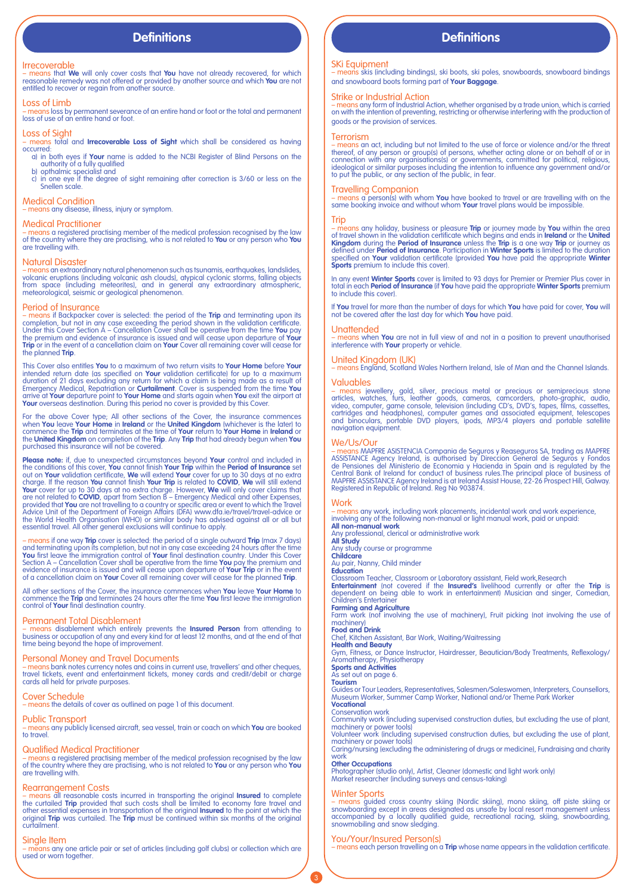### Irrecoverable

– means that **We** will only cover costs that **You** have not already recovered, for which reasonable remedy was not offered or provided by another source and which **You** are not entitled to recover or regain from another source.

## Loss of Limb

– means loss by permanent severance of an entire hand or foot or the total and permanent loss of use of an entire hand or foot.

## Loss of Sight

– means total and **Irrecoverable Loss of Sight** which shall be considered as having occurred:

a) in both eyes if **Your** name is added to the NCBI Register of Blind Persons on the authority of a fully qualified

b) opthalmic specialist and c) in one eye if the degree of sight remaining after correction is 3/60 or less on the Snellen scale.

Medical Condition – means any disease, illness, injury or symptom.

### Medical Practitioner

– means a registered practising member of the medical profession recognised by the law of the country where they are practising, who is not related to **You** or any person who **You** are travelling with.

### Natural Disaster

– <mark>means</mark> an extraordinary natural phenomenon such as tsunamis, earthquakes, landslides,<br>volcanic eruptions (including volcanic ash clouds), atypical cyclonic storms, falling objects from space (including meteorites), and in general any extraordinary atmospheric, meteorological, seismic or geological phenomenon.

## Period of Insurance

<mark>– means</mark> if Backpacker cover is selected: the period of the **Trip** and terminating upon its<br>completion, but not in any case exceeding the period shown in the validation certificate.<br>Under this Cover Section A – Cancellati the premium and evidence of insurance is issued and will cease upon departure of **Your**<br>**Trip** or in the event of a cancellation claim on **Your** Cover all remaining cover will cease for<br>the planned **Trip**.

This Cover also entitles **You** to a maximum of two return visits to **Your Home** before **Your**<br>intended return date (as specified on **Your** validation certificate) for up to a maximum<br>duration of 21 days excluding any retur arrive at **Your** departure point to **Your Home** and starts again when **You** exit the airport at **Your** overseas destination. During this period no cover is provided by this Cover.

For the above Cover type; All other sections of the Cover, the insurance commences<br>when You leave Your Home in Ireland or the United Kingdom (whichever is the later) to<br>commence the Trip and terminates at the time of Your purchased this insurance will not be covered.

**Please note:** if, due to unexpected circumstances beyond **Your** control and included in the conditions of this cover, You cannot finish Your Trip within the Period of Insurance set<br>out on Your validation certificate, We will extend Your cover for up to 30 days at no extra<br>charge. If the reason You cannot fini Advice Unit of the Department of Foreign Affairs (DFA) www.dfa.ie/travel/travel-advice or<br>the World Health Organisation (WHO) or similar body has advised against all or all but<br>essential travel. All other general exclusion

– means if one way **Trip** cover is selected: the period of a single outward **Trip** (max 7 days)<br>and terminating upon its completion, but not in any case exceeding 24 hours after the time<br>You first leave the immigration con of a cancellation claim on **Your** Cover all remaining cover will cease for the planned **Trip**.

All other sections of the Cover, the insurance commences when **You** leave **Your Home** to<br>commence the **Trip** and terminates 24 hours after the time **You** first leave the immigration<br>control of **Your** final destination coun

## Permanent Total Disablement

– means disablement which entirely prevents the **Insured Person** from attending to business or occupation of any and every kind for at least 12 months, and at the end of that time being beyond the hope of improvement.

Personal Money and Travel Documents – means bank notes currency notes and coins in current use, travellers' and other cheques, travel tickets, event and entertainment tickets, money cards and credit/debit or charge cards all held for private purposes.

Cover Schedule – means the details of cover as outlined on page 1 of this document.

## Public Transport

– means any publicly licensed aircraft, sea vessel, train or coach on which **You** are booked to travel.

## Qualified Medical Practitioner

– means a registered practising member of the medical profession recognised by the law of the country where they are practising, who is not related to **You** or any person who **You** are travelling with.

Rearrangement Costs<br>- means all reasonable costs incurred in transporting the original **Insured** to complete<br>the curtailed **Trip** provided that such costs shall be limited to economy fare travel and<br>other essential expense

## Single Item

ins any one article pair or set of articles (including golf clubs) or collection which are used or worn together.

# **Definitions Definitions**

SKi Equipment – means skis (including bindings), ski boots, ski poles, snowboards, snowboard bindings and snowboard boots forming part of **Your Baggage**.

Strike or Industrial Action – means any form of Industrial Action, whether organised by a trade union, which is carried on with the intention of preventing, restricting or otherwise interfering with the production of goods or the provision of services.

### Terrorism

- means an act, including but not limited to the use of force or violence and/or the threat<br>thereof, of any person or group(s) of persons, whether acting alone or on behalf of or in<br>connection with any organisations(s) or to put the public, or any section of the public, in fear.

## Travelling Companion

– means a person(s) with whom **You** have booked to travel or are travelling with on the same booking invoice and without whom **Your** travel plans would be impossible.

### Trip

– means any holiday, business or pleasure **Trip** or journey made by **You** within the area of travel shown in the validation certificate which bigins and ends in **Ireland** or the **United Stringdom** during the **Period of Ins Sports** premium to include this cover).

In any event **Winter Sports** cover is limited to 93 days for Premier or Premier Plus cover in total in each **Period of Insurance** (if **You** have paid the appropriate **Winter Sports** premium to include this cover).

If **You** travel for more than the number of days for which **You** have paid for cover, **You** will not be covered after the last day for which **You** have paid.

### Unattended

– means when **You** are not in full view of and not in a position to prevent unauthorised interference with **Your** property or vehicle.

## United Kingdom (UK)

– means England, Scotland Wales Northern Ireland, Isle of Man and the Channel Islands.

## Valuables

– means jewellery, gold, silver, precious metal or precious or semiprecious stone articles, watches, furs, leather goods, cameras, camcorders, photo-graphic, audio,<br>video, computer, game console, television (including CD's, DVD's, tapes, films, cassettes,<br>cartridges and headphonesl, computer games and a navigation equipment.

We/Us/Our<br>
— means MAPFRE ASISTENCIA Compania de Seguros y Reaseguros SA, trading as MAPFRE<br>
— means MAPFRE ASISTENCIA Compania de Seguros y Reaseguros SA, trading as MAPFRE<br>
ASISTANCE Agency Ireland, is authorised by Dire

### **Work**

– means any work, including work placements, incidental work and work experience,<br>involving any of the following non-manual or light manual work, paid or unpaid:

**All non-manual work** Any professional, clerical or administrative work **All Study** Any study course or programme

**Childcare** Au pair, Nanny, Child minder

**Education**

Classroom Teacher, Classroom or Laboratory assistant, Field work,Research<br>**Entertainment** (not covered if the **Insured'**s livelihood currently or after the **Trip** is<br>dependent on being able to work in entertainment) Musici Children's Entertainer **Farming and Agriculture**

Farm work (not involving the use of machinery), Fruit picking (not involving the use of machinery)<br>Food and Drink

**Food and Drink**<br>Chef, Kitchen Assistant, Bar Work, Waiting/Waitressing<br>**Health and Beauty**<br>Gym, Fitness, or Dance Instructor, Hairdresser, Beautician/Body Treatments, Reflexology/<br>Aromatherapy, Physiotherapy

### **Sports and Activities** As set out on page 6.

**Tourism**

Guides or Tour Leaders, Representatives, Salesmen/Saleswomen, Interpreters, Counsellors*,*<br>Museum Worker, Summer Camp Worker, National and/or Theme Park Worker<br>**Vocational** 

## Conservation work

Community work (including supervised construction duties, but excluding the use of plant, machinery or power tools)

Volunteer work (including supervised construction duties, but excluding the use of plant, machinery or power tools)

# Caring/nursing (excluding the administering of drugs or medicine), Fundraising and charity work **Other Occupations**

Photographer (studio only), Artist, Cleaner (domestic and light work only) Market researcher (including surveys and census-taking)

## Winter Sports

3

<mark>– means</mark> guided cross country skiing (Nordic skiing), mono skiing, off piste skiing or<br>snowboarding except in areas designated as unsafe by local resort management unless<br>accompanied by a locally qualified guide, recreati snowmobiling and snow sledging.

## You/Your/Insured Person(s)

– means each person travelling on a **Trip** whose name appears in the validation certificate.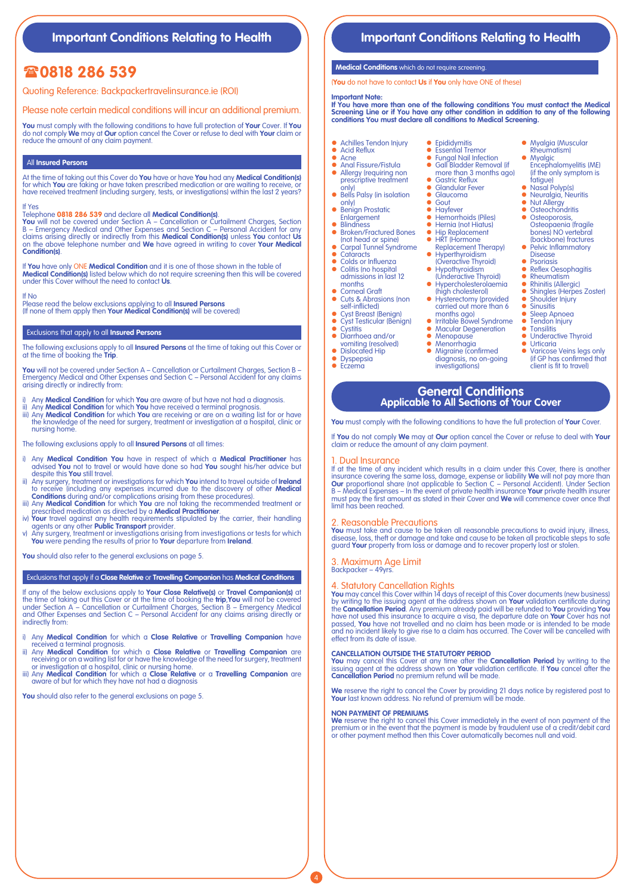# **Important Conditions Relating to Health Integral Conditions Relating to Health**

# **0818 286 539**

Quoting Reference: Backpackertravelinsurance.ie (ROI)

Please note certain medical conditions will incur an additional premium.

**You** must comply with the following conditions to have full protection of **Your** Cover. If **You**<br>do not comply **We** may at **Our** option cancel the Cover or refuse to deal with **Your** claim or<br>reduce the amount of any clai

## All **Insured Persons**

At the time of taking out this Cover do **You** have or have **You** had any **Medical Condition(s)** for which **You** are taking or have taken prescribed medication or are waiting to receive, or have received treatment (including surgery, tests, or investigations) within the last 2 years?

If Yes Telephone **0818 286 539** and declare all **Medical Condition(s)**.

**You** will not be covered under Section A – Cancellation or Curtailment Charges, Section B – Emergency Medical and Other Expenses and Section C – Personal Accident for any claims arising directly or indirectly from this **Medical Condition(s)** unless **You** contact **Us** on the above telephone number and **We** have agreed in writing to cover **Your Medical Condition(s)**.

If **You** have only ONE **Medical Condition** and it is one of those shown in the table of **Medical Condition(s)** listed below which do not require screening then this will be covered under this Cover without the need to contact **Us**.

If No Please read the below exclusions applying to all **Insured Persons** (If none of them apply then **Your Medical Condition(s)** will be covered)

### Exclusions that apply to all **Insured Persons**

The following exclusions apply to all **Insured Persons** at the time of taking out this Cover or at the time of booking the **Trip**.

**You** will not be covered under Section A – Cancellation or Curtailment Charges, Section B – Emergency Medical and Other Expenses and Section C – Personal Accident for any claims arising directly or indirectly from:

- Any **Medical Condition** for which **You** are aware of but have not had a diagnosis.
- ii) Any **Medical Condition** for which **You** have received a terminal prognosis. iii) Any **Medical Condition** for which **You** are receiving or are on a waiting list for or have the knowledge of the need for surgery, treatment or investigation at a hospital, clinic or nursing home.

The following exclusions apply to all **Insured Persons** at all times:

- i) Any **Medical Condition You** have in respect of which a **Medical Practitioner** has advised **You** not to travel or would have done so had **You** sought his/her advice but despite this **You** still travel.
- ii) Any surgery, treatment or investigations for which **You** intend to travel outside of **Ireland** to receive (including any expenses incurred due to the discovery of other **Medical**
- **Conditions** during and/or complications arising from these procedures).<br>
iii) Any **Medical Condition** for which **You** are not taking the recommended treatment or<br>
prescribed medication as directed by a **Medical Practition**
- 
- **You** were pending the results of prior to **Your** departure from **Ireland**.

**You** should also refer to the general exclusions on page 5.

## Exclusions that apply if a **Close Relative** or **Travelling Companion** has **Medical Conditions**

If any of the below exclusions apply to **Your Close Relative(s)** or **Travel Companion(s)** at the time of taking out this Cover or at the time of booking the **trip,You** will not be covered<br>under Section A – Cancellation or Curtailment Charges, Section B – Emergency Medical<br>and Other Expenses and Section C – Persona indirectly from:

- i) Any **Medical Condition** for which a **Close Relative** or **Travelling Companion** have
- received a terminal prognosis. ii) Any **Medical Condition** for which a **Close Relative** or **Travelling Companion** are receiving or on a waiting list for or have the knowledge of the need for surgery, treatment
- or investigation at a hospital, clinic or nursing home. iii) Any **Medical Condition** for which a **Close Relative** or a **Travelling Companion** are aware of but for which they have not had a diagnosis

You should also refer to the general exclusions on page 5

## **Medical Conditions** which do not require screening.

(**You** do not have to contact **Us** if **You** only have ONE of these)

### **Important Note:**

**If You have more than one of the following conditions You must contact the Medical Screening Line or if You have any other condition in addition to any of the following conditions You must declare all conditions to Medical Screening.**

> • Esserman Hernor<br>• Gall Bladder Remove z Gall Bladder Removal (if more than 3 months ago)

● Gastric Reflux<br>● Glandular Fever **a** Glaucoma • Gout

**•** Hayfever<br>• Hemorrhoids (Piles) **• Hernia (not Hiatus)** ● Hip Replacement<br>● HRT (Hormone Replacement Therapy) z Hyperthyroidism (Overactive Thyroid) z Hypothyroidism (Underactive Thyroid) • Hypercholesterolaemia (high cholesterol) • Hysterectomy (provided carried out more than 6 months ago)<br>● Irritable Bowel Syndrome<br>● Macular Degeneration

• Menopause • Menorrhagia Migraine (confirmed diagnosis, no on-going investigations)

- Achilles Tendon Injury Epididymitis **•** Essential Tremor
- Acid Reflux  $\overline{a}$  Acne
- Anal Fissure/Fistula<br>• Alleray Irequiring no
- Allergy (requiring non prescriptive treatment
- only)<br>• Bells Palsy (in isolation
- only)  $\bullet$  Benign Prostatic Enlargement
- Blindness<br>• Broken/Fre
- **Broken/Fractured Bones** (not head or spine)
- z Carpal Tunnel Syndrome
- Cataracts • Colds or Influenza<br>• Colitis (no hospital
- z Colitis (no hospital admissions in last 12
- months
- Corneal Graft z Cuts & Abrasions (non
- self-inflicted) • Cyst Breast (Benign)
- z Cyst Testicular (Benign)
- Cystitis<br>• Digrrho Diarrhoea and/or
- vomiting (resolved) • Dislocated Hip
- Dyspepsia
- Eczema

## **Myalgia (Muscular**

- Rheumatism) **Myalgic** 
	- Encephalomyelitis (ME) (if the only symptom is
- **catigue)<br>
 Nasal Polyp(s)<br>
 Neuralgia, Neuritis<br>
 Nut Allergy**
- 
- Osteochondritis Osteoporosis,
- Osteopaenia (fragile bones) NO vertebral (backbone) fractures
- Pelvic Inflammatory Disease • Psoriasis<br>• Reflex Oc
- Reflex Oesophagitis
- **•** Rheumatism<br>• Rhinitis (Allergic)
- Shingles (Herpes Zoster)<br>● Shoulder Injury
- Sinusitis
- 
- $\bullet$  Sleep Apnoea • Tendon Injury<br>• Tonsilitis
- **Tonsilitis** Underactive Thyroid
- Urticaria
- Varicose Veins legs only (if GP has confirmed that client is fit to travel)

## **General Conditions Applicable to All Sections of Your Cover**

**You** must comply with the following conditions to have the full protection of **Your** Cover.

If **You** do not comply **We** may at **Our** option cancel the Cover or refuse to deal with **Your**  claim or reduce the amount of any claim payment.

## Dual Insurance

If at the time of any incident which results in a claim under this Cover, there is another insurance covering the same loss, damage, expense or liability **We** will not pay more than<br>**Our** proportional share (not applicable to Section C – Personal Accident). Under Section<br>B – Medical Expenses – In the event of pr must pay the first amount as stated in their Cover and **We** will commence cover once that limit has been reached.

## 2. Reasonable Precautions

**You** must take and cause to be taken all reasonable precautions to avoid injury, illness, disease, loss, theft or damage and take and cause to be taken all practicable steps to safe guard **Your** property from loss or damage and to recover property lost or stolen.

3. Maximum Age Limit Backpacker – 49yrs.

4. Statutory Cancellation Rights<br>You may cancel this Cover within 14 days of receipt of this Cover documents (new business)<br>by writing to the issuing agent at the address shown on Your validation certificate during<br>the **Ca** and no incident likely to give rise to a claim has occurred. The Cover will be cancelled with effect from its date of issue.

### **CANCELLATION OUTSIDE THE STATUTORY PERIOD**

**You** may cancel this Cover at any time after the **Cancellation Period** by writing to the issuing agent at the address shown on **Your** validation certificate. If **You** cancel after the **Cancellation Period** no premium refund will be made.

**We** reserve the right to cancel the Cover by providing 21 days notice by registered post to **Your** last known address. No refund of premium will be made.

## **NON PAYMENT OF PREMIUMS**

4

**We** reserve the right to cancel this Cover immediately in the event of non payment of the<br>premium or in the event that the payment is made by fraudulent use of a credit/debit card<br>or other payment method then this Cover a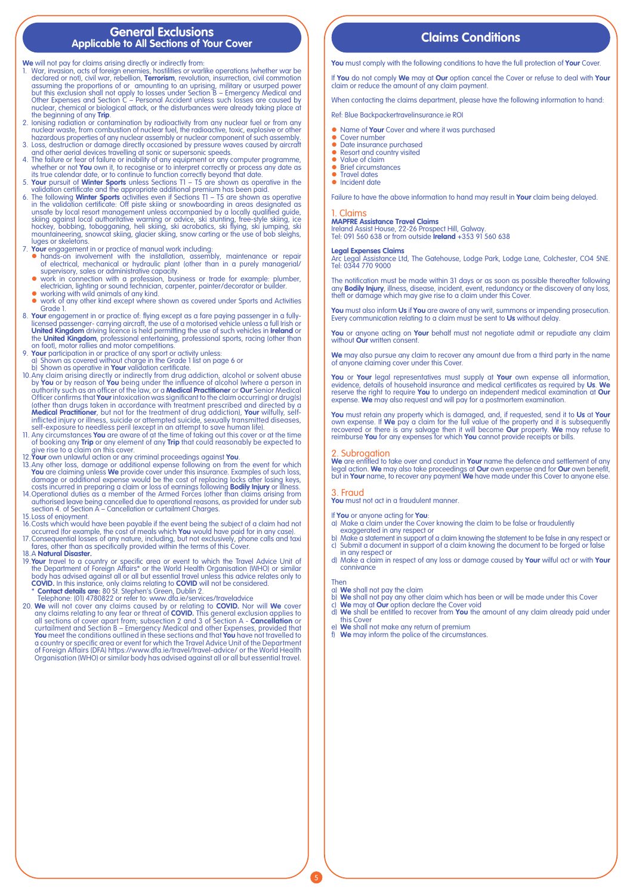## **General Exclusions Applicable to All Sections of Your Cover**

- We will not pay for claims arising directly or indirectly from:<br>1. War, invasion, acts of foreign enemies, hostillies or warlike operations (whether war be declared or not), civil war, rebellion, **Terrorism**, revolution,
- the beginning of any **Trip.**<br>2. Ionising radiation or contamination by radioactivity from any nuclear fuel or from any<br>2. Ionisian puclear waste, from combustion of nuclear fuel, the radioactive, toxic, explosive or other<br>
- 
- 3. Loss, destruction or damage directly occasioned by pressure waves caused by aircraft<br>and other aerial devices travelling at sonic or supersonic speeds.<br>4. The failure or fear of failure or inability of any equipment or
- 
- validation certificate and the appropriate additional premium has been paid.<br>6. The following **Winter Sports** activities even if Sections T1 T5 are shown as operative in the validation certificate: Off piste skiing or sn
- 
- 7. Your engagement in or practice of manual work including:<br>• hands-on involvement with the installation, assembly, maintenance or repair<br>of electrical, mechanical or hydraulic plant (other than in a purely managerial/<br>sup
	-
	-
- Grade 1.
- licensed passenger- carrying aircraft, the use of a motorised vehicle unless a full Irish or<br>**United Kingdom** driving licence is held permitting the use of such vehicles in **Ireland** or<br>the **United Kingdom**, professional e
- 9. **Your** participation in or practice of any sport or activity unless: a) Shown as covered without charge in the Grade 1 list on page 6 or
- 
- b) Shown as operative in **Your** validation certificate.<br>10.Any claim arising directly or indirectly from drug addiction, alcohol or solvent abuse<br>by **You** or by reason of **You** being under the influence of alcohol (where a Officer confirms that **Your** intoxication was significant to the claim occurring) or drug(s) (other than drugs taken in accordance with treatment prescribed and directed by a **Medical Practitioner**, but not for the treatment of drug addiction), **Your** wilfully, self-<br>inflicted injury or illness, suicide or attempted suicide, sexually transmitted diseases,<br>self-exposure to needless peril (except
- 11. Any circumstances **You** are aware of at the time of taking out this cover or at the time<br>of booking any **Trip** or any element of any **Trip** that could reasonably be expected to<br>give rise to a claim on this cover.
- 
- 12. **Your** own unlowful action or any criminal proceedings against **You**.<br>13. Any other loss, damage or additional expense following on from the event for which<br>**You** are claiming unless **We** provide cover under this insur
- authorised leave being cancelled due to operational reasons, as provided for under sub section 4. of Section A Cancellation or curtailment Charges.
- 
- 
- 15. Loss of enjoyment.<br>16. Costs which would have been payable if the event being the subject of a claim had not<br>16. Costs which would have been payable if the event being the subject of a claim had not<br>17. Consequential l
- 
- 19.**Your** travel to a country or specific area or event to which the Travel Advice Unit of the Department of Foreign Affairs\* or the World Health Organisation (WHO) or similar body has advised against all or all but essential travel unless this advice relates only to
- 
- **COVID.** In this instance, only claims relating to **COVID** will not be considered.<br>\* **Contact details are:** 80 Sf. Stephen's Green, Dublin 2.<br>Telephone: (01) 4780822 or refer to: www.dfa.ie/services/traveladvice<br>20. We wil any claims relating to any fear or threat of **COVID**. This general exclusion applies to<br>all sections of cover apart from; subsection 2 and 3 of Section A **- Cancellation** or<br>curtailment and Section B – Emergency Medical an a country or specific area or event for which the Travel Advice Unit of the Department of Foreign Affairs (DFA) https://www.dfa.ie/travel/travel-advice/ or the World Health Organisation (WHO) or similar body has advised against all or all but essential travel.

# **Claims Conditions**

**You** must comply with the following conditions to have the full protection of **Your** Cover.

If **You** do not comply **We** may at **Our** option cancel the Cover or refuse to deal with **Your** claim or reduce the amount of any claim payment.

When contacting the claims department, please have the following information to hand:

Ref: Blue Backpackertravelinsurance.ie ROI

- **•** Name of **Your** Cover and where it was purchased<br>• Cover number
- 
- Date insurance purchased<br>• Resort and country visited
- Value of claim<br>• Brief circumsta
- $\bullet$  Brief circumstances
- Travel dates<br>• Incident date

Failure to have the above information to hand may result in **Your** claim being delayed.

## 1. Claims

**MAPFRE Assistance Travel Claims** Ireland Assist House, 22-26 Prospect Hill, Galway. Tel: 091 560 638 or from outside **Ireland** +353 91 560 638

### **Legal Expenses Claims**

Arc Legal Assistance Ltd, The Gatehouse, Lodge Park, Lodge Lane, Colchester, CO4 5NE. Tel: 0344 770 9000

The notification must be made within 31 days or as soon as possible thereafter following any **Bodily Injury**, illness, disease, incident, event, redundancy or the discovery of any loss, theft or damage which may give rise to a claim under this Cover.

**You** must also inform **Us** if **You** are aware of any writ, summons or impending prosecution. Every communication relating to a claim must be sent to **Us** without delay.

**You** or anyone acting on **Your** behalf must not negotiate admit or repudiate any claim without **Our** written consent.

**We** may also pursue any claim to recover any amount due from a third party in the name of anyone claiming cover under this Cover.

**You** or **Your** legal representatives must supply at **Your** own expense all information,<br>evidence, details of household insurance and medical certificates as required by **Us. We**<br>reserve the right to require **You** to under expense. **We** may also request and will pay for a postmortem examination.

**You** must retain any property which is damaged, and, if requested, send it to **Us** at **Your** own expense. If **We** pay a claim for the full value of the property and it is subsequently<br>recovered or there is any salvage then it will become **Our** property. We may refuse to<br>reimburse **You** for any expenses for which

### **Subrogation**

**We** are entitled to take over and conduct in **Your** name the defence and settlement of any legal action. **We** may also take proceedings at **Our** own expense and for **Our** own benefit, but in **Your** name, to recover any payment **We** have made under this Cover to anyone else.

## 3. Fraud

**You** must not act in a fraudulent manner.

# If **You** or anyone acting for **You**: a) Make a claim under the Cover knowing the claim to be false or fraudulently

- exaggerated in any respect or
- b) Make a statement in support of a claim knowing the statement to be false in any respect or c) Submit a document in support of a claim knowing the document to be forged or false
- in any respect or
- d) Make a claim in respect of any loss or damage caused by **Your** wilful act or with **Your** connivance

### Then

a) **We** shall not pay the claim

- 
- b) **We** shall not pay any other claim which has been or will be made under this Cover<br>c) **We m**ay at **Ou**r option declare the Cover void<br>d) **We** shall be entitled to recover from **You** the amount of any claim already paid this Cover
- 
- e) **We** shall not make any return of premium f) **We** may inform the police of the circumstances.

● work in connection with a profession, business or trade for example: plumber,<br>electrician, lighting or sound technician, carpenter, painter/decorator or builder.<br>● working with wild animals of any kind.<br>● work of any ot

8. **Your** engagement in or practice of: flying except as a fare paying passenger in a fully-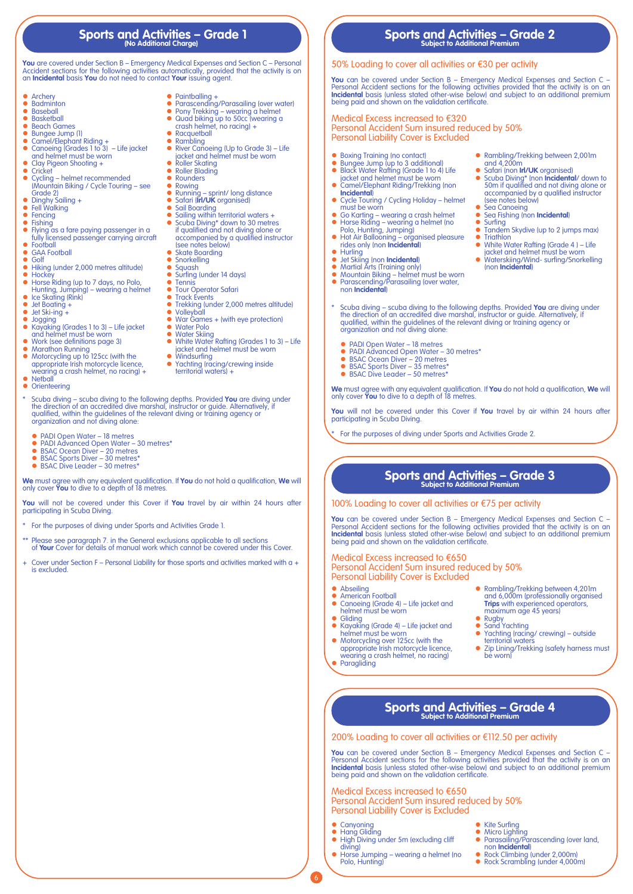# **Sports and Activities – Grade 1 (No Additional Charge)**

**You** are covered under Section B – Emergency Medical Expenses and Section C – Personal Accident sections for the following activities automatically, provided that the activity is on an **Incidental** basis **You** do not need to contact **Your** issuing agent.

- 
- Archery<br>• Badminton<br>• Baseball
- 
- Basketball<br>• Beach Gar z Beach Games
- Bungee Jump (1)<br>● Camel/Flenhant
- 
- z Camel/Elephant Riding + z Canoeing (Grades 1 to 3) Life jacket and helmet must be worn • Clay Pigeon Shooting +
- 
- Cricket z Cycling – helmet recommended (Mountain Biking / Cycle Touring – see
- Grade 2)<br>• Dinghy Sailing +
- Fell Walking
- Fencing  $\bullet$  Fishing
- z Flying as a fare paying passenger in a fully licensed passenger carrying aircraft z Football
- **GAA Football**
- **•** Golf
- 
- Hiking (under 2,000 metres altitude)<br>● Hockey
- z Hockey z Horse Riding (up to 7 days, no Polo, Hunting, Jumping) wearing a helmet • Ice Skating (Rink)
- Jet Boating +
- $\bullet$  Jet Ski-ing +
- Jogging<br>• Kavaking
- z Kayaking (Grades 1 to 3) Life jacket and helmet must be worn
- 
- Work (see definitions page 3)<br>● Marathon Running<br>● Motorcycling up to 125cc (with the<br>appropriate Irish motorcycle licence,<br>wearing a crash helmet, no racing) +<br>● Netball
- $\bullet$  Orienteering
- to Scuba diving scuba diving to the following depths. Provided You are diving under the direction of an accredited dive marshal, instructor or guide. Alternatively, if qualified, within the guidelines of the relevant div organization and not diving alone:
	- PADI Open Water 18 metres<br>● PADI Advanced Open Water –
	- PADI Advanced Open Water 30 metres\*<br>● BSAC Ocean Diver 20 metres<br>● BSAC Sports Diver 30 metres\*
	-
	- z BSAC Dive Leader 30 metres\*

**We** must agree with any equivalent qualification. If **You** do not hold a qualification, **We** will only cover **You** to dive to a depth of 18 metres.

**You** will not be covered under this Cover if **You** travel by air within 24 hours after participating in Scuba Diving.

- \* For the purposes of diving under Sports and Activities Grade 1.
- Please see paragraph 7. in the General exclusions applicable to all sections of **Your** Cover for details of manual work which cannot be covered under this Cover.
- Cover under Section F Personal Liability for those sports and activities marked with a + is excluded.

- Paintballing +<br>● Parascending/Parasailing (over water)<br>● Pony Trekking wearing a helmet<br>● Quad biking up to 50cc (wearing a<br>crash helmet, no racing) +
- 
- 
- Racquetball
- 
- z Rambling z River Canoeing (Up to Grade 3) Life jacket and helmet must be worn
- Roller Skating
- Roller Blading • Rounders
- Rowing
	- **•** Running sprint/ long distance<br>• Safari (**Irl/UK** organised)
	-
	-
	- z Sail Boarding z Sailing within territorial waters + z Scuba Diving\* down to 30 metres if qualified and not diving alone or
	- accompanied by a qualified instructor (see notes below)
	- Skate Boarding
	- Snorkelling Squash
	- Surfing (under 14 days)
	- **•** Tennis<br>• Tour Operator Safari
- **Track Events** 
	- Trekking (under 2,000 metres altitude)
	- Volleyball<br>• War Gam
	- $\bullet$  War Games + (with eye protection)
- Water Polo<br>• Water Skiing
- White Water Rafting (Grades 1 to 3) Life<br>| jacket and helmet must be worn<br>● Windsurfing
- 
- 
- Yachting (racing/crewing inside<br>territorial waters) +

**Sports and Activities – Grade 2 Subject to Additional Premium**

## 50% Loading to cover all activities or €30 per activity

**You** can be covered under Section B – Emergency Medical Expenses and Section C –<br>Personal Accident sections for the following activities provided that the activity is on an<br>**Incidental** basis (unless stated other-wise bel being paid and shown on the validation certificate.

## Medical Excess increased to €320 Personal Accident Sum insured reduced by 50% Personal Liability Cover is Excluded

- 
- 
- Boxing Training (no contact)<br>● Bungee Jump (up to 3 additional)<br>● Black Water Rafting (Grade 1 to 4) Life jacket and helmet must be worn<br>● Camel/Elephant Riding/Trekking (non
- **Incidental**) ● Cycle Touring / Cycling Holiday – helmet
- must be worn
- Go Karting wearing a crash helmet<br>● Horse Riding wearing a helmet (no<br>Polo, Hunting, Jumping)
- z Hot Air Ballooning organised pleasure rides only (non **Incidental**)
- $\bullet$  Hurling<br> $\bullet$  Jet Skiin
- 
- 
- **●** Jet Skiing (non **Incidental)**<br>
 Martial Arts (Training only)<br>
 Mountain Biking helmet must be worn<br>
 Parascending/Parasailing (over water,<br>
non **Incidental**)
- Rambling/Trekking between 2,001m and 4,200m z Safari (non **Irl/UK** organised)
- **•** Scuba Diving\* (non **Incidental**/ down to 50m if qualified and not diving alone or accompanied by a qualified instructor (see notes below)
- Sea Canoeing<br>• Sea Fishing Inc **•** Sea Fishing (non **Incidental**)
- **•** Surfing<br>• Tandem Skydive (up to 2 jumps max)
- Triathlon<br>● White Water Rafting (Grade 4) Life
- iacket and helmet must be worn<br>● Waterskiing/Wind- surfing/Snorkelling (non **Incidental**)

 z Rambling/Trekking between 4,201m and 6,000m (professionally organised **Trips** with experienced operators, maximum age 45 years)

 z Yachting (racing/ crewing) – outside territorial waters • Zip Lining/Trekking (safety harness must

● Kite Surfing<br>● Micro Lighting<br>● Parasailing/Parascending (over land,

● Rock Climbing (under 2,000m)<br>● Rock Scrambling (under 4,000m)

non **Incidental**)

- Scuba diving scuba diving to the following depths. Provided You are diving under the direction of an accredited dive marshal, instructor or guide. Alternatively, if qualified, within the guidelines of the relevant diving or training agency or organization and not diving alone:
	-
	- PADI Open Water 18 metres<br>● PADI Advanced Open Water 30 metres\*
	- BSAC Ocean Diver 20 metres<br>● BSAC Sports Diver 35 metres\*
	- $\bullet$  BSAC Dive Leader 50 metres

**We** must agree with any equivalent qualification. If **You** do not hold a qualification, **We** will only cover **You** to dive to a depth of 18 metres.

**You** will not be covered under this Cover if **You** travel by air within 24 hours after participating in Scuba Diving.

For the purposes of diving under Sports and Activities Grade 2.

# **Sports and Activities – Grade 3 Subject to Additional Premium**

## 100% Loading to cover all activities or €75 per activity

200% Loading to cover all activities or €112.50 per activity

Personal Accident Sum insured reduced by 50%

**You** can be covered under Section B – Emergency Medical Expenses and Section C – Personal Accident sections for the following activities provided that the activity is on an **Incidental** basis (unless stated other-wise bel

**Sports and Activities – Grade 4 Subject to Additional Premium**

**You** can be covered under Section B – Emergency Medical Expenses and Section C – Personal Accident sections for the following activities provided that the activity is on an **Incidental** basis (unless stated other-wise below) and subject to an additional premium being paid and shown on the validation certificate

> • Rugby • Sand Yachting<br>• Yachting Iracin

> > be worn)

## Medical Excess increased to €650 Personal Accident Sum insured reduced by 50% Personal Liability Cover is Excluded

 z Canoeing (Grade 4) – Life jacket and helmet must be worn

Kayaking (Grade 4) – Life jacket and helmet must be worn<br>• Motorcycling over 125cc (with the appropriate Irish motorcycle licence,<br>wearing a crash helmet, no racing)<br>• Paragliding

**•** Abseiling<br>• American Football

 $\bullet$  Gliding

Medical Excess increased to €650

Personal Liability Cover is Excluded

• High Diving under 5m (excluding cliff

 z Horse Jumping – wearing a helmet (no

• Canyoning<br>• Hang Gliding

Polo, Hunting)

diving)

6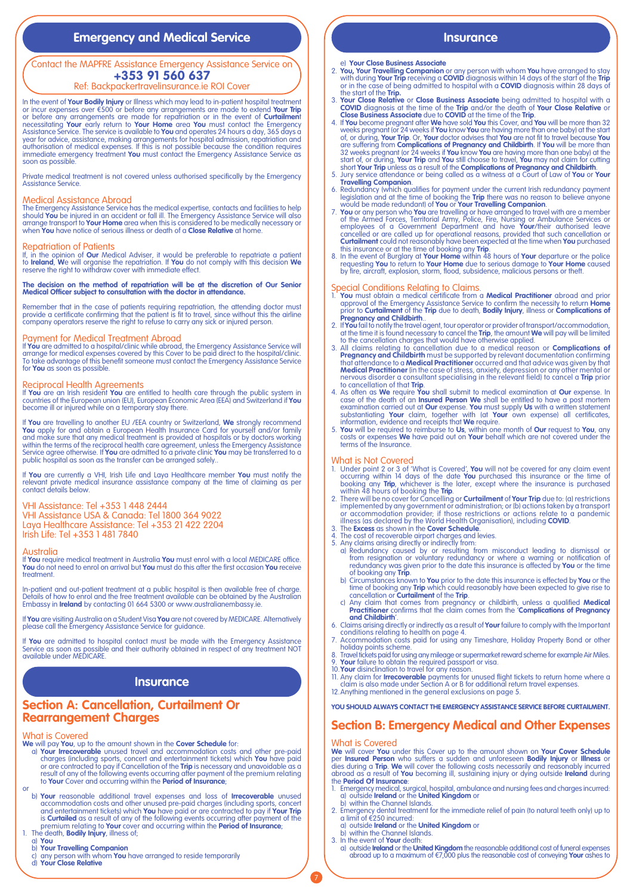# **Emergency and Medical Service <b>Insurance Insurance**

## Contact the MAPFRE Assistance Emergency Assistance Service on **+353 91 560 637**

## Ref: Backpackertravelinsurance.ie ROI Cover

In the event of **Your Bodily Injury** or Illness which may lead to in-patient hospital treatment<br>or incur expenses over €500 or before any arrangements are made to extend **Your Trip**<br>or before any arrangements are made for necessitating Your early return to Your Home area You must contact the Emergency<br>Assistance Service. The service is available to You and operates 24 hours a day, 365 days a<br>year for advice, assistance, making arrangements immediate emergency treatment **You** must contact the Emergency Assistance Service as soon as possible.

Private medical treatment is not covered unless authorised specifically by the Emergency Assistance Service.

## Medical Assistance Abroad

The Emergency Assistance Service has the medical expertise, contacts and facilities to help<br>should **You** be injured in an accident or fall ill. The Emergency Assistance Service will also<br>arrange transport to **Your Home** ar

### Repatriation of Patients

If, in the opinion of **Our** Medical Adviser, it would be preferable to repatriate a patient<br>to **treland, W**e will organise the repatriation. If **You** do not comply with this decision **We**<br>reserve the right to withdraw cove

# **The decision on the method of repatriation will be at the discretion of Our Senior Medical Officer subject to consultation with the doctor in attendance.**

Remember that in the case of patients requiring repatriation, the attending doctor must<br>provide a certificate confirming that the patient is fit to travel, since without this the airline<br>company operators reserve the right

Payment for Medical Treatment Abroad If **You** are admitted to a hospital/clinic while abroad, the Emergency Assistance Service will arrange for medical expenses covered by this Cover to be paid direct to the hospital/clinic. To take advantage of this benefit someone must contact the Emergency Assistance Service for **You** as soon as possible.

**Reciprocal Health Agreements**<br>If **You** are an Irish resident **You** are entitled to health care through the public system in<br>countries of the European union (EU), European Economic Area (EEA) and Switzerland if **You** become ill or injured while on a temporary stay there.

If You are travelling to another EU /EEA country or Switzerland, We strongly recommend<br>You apply for and obtain a European Health Insurance Card for yourself and/or family<br>and make sure that any medical treatment is provid Service agree otherwise. If **You** are admitted to a private clinic **You** may be transferred to a public hospital as soon as the transfer can be arranged safely..

If **You** are currently a VHI, Irish Life and Laya Healthcare member **You** must notify the relevant private medical insurance assistance company at the time of claiming as per contact details below.

## VHI Assistance: Tel +353 1 448 2444

VHI Assistance USA & Canada: Tel 1800 364 9022 Laya Healthcare Assistance: Tel +353 21 422 2204 Irish Life: Tel +353 1 481 7840

### Australia

If **You** require medical treatment in Australia **You** must enrol with a local MEDICARE office. **You** do not need to enrol on arrival but **You** must do this after the first occasion **You** receive treatment.

In-patient and out-patient treatment at a public hospital is then available free of charge.<br>Details of how to enrol and the free treatment available can be obtained by the Australian<br>Embassy in **Ireland** by contacting 01 6

If **You** are visiting Australia on a Student Visa **You** are not covered by MEDICARE. Alternatively please call the Emergency Assistance Service for guidance.

If **You** are admitted to hospital contact must be made with the Emergency Assistance Service as soon as possible and their authority obtained in respect of any treatment NOT available under MEDICARE.

# **Insurance**

# **Section A: Cancellation, Curtailment Or Rearrangement Charges**

## What is Covered

**We** will pay **You**, up to the amount shown in the **Cover Schedule** for: a) **Your Irrecoverable** unused travel and accommodation costs and other pre-paid charges (including sports, concert and entertainment tickets) which **You** have paid<br>or are contracted to pay if Cancellation of the **Trip** is necessary and unavoidable as a<br>result of any of the following events occurring a

- or<br>**b) Your** reasonable additional travel expenses and loss of **Irrecoverable** unused accommodation costs and other unused pre-paid charges (including sports, concert<br>and entertainment tickets) which You have paid or are contracted to pay if Your Trip<br>is **Curtailed** as a result of any of the following event
	-
	- a) **You**
	-
	- b) **Your Travelling Companion** c) any person with whom **You** have arranged to reside temporarily d) **Your Close Relative**
	-

- e) **Your Close Business Associate**
- 2. **You, Your Travelling Companion** or any person with whom **You** have arranged to stay with during **Your Trip** receiving a **COVID** diagnosis within 14 days of the start of the **Trip** or in the case of being admitted to hospital with a **COVID** diagnosis within 28 days of the start of the **Trip.**
- 
- 3. Your Close Relative or Close Business Associate being admitted to hospital with a COVID diagnosis at the time of the Trip and/or the death of Your Close Relative or Close Business Associate due to COVID at the time of are suffering from **Complications of Pregnancy and Childbirth**. If You will be more than 32 weeks pregnant (or 24 weeks if You know You are having more than start of, or during, Your Trip and You still choose to travel, Yo
- 
- 
- 6. Redundancy (which qualifies for payment under the current lrish redundancy payment<br>legislation and at the time of booking the **Trip** there was no reason to believe anyone<br>would be made redundant) of You or Your Travell
- 

- Special Conditions Relating to Claims. 1. **You** must obtain a medical certificate from a **Medical Practitioner** abroad and prior approval of the Emergency Assistance Service to confirm the necessity to return **Home** prior to **Curtailment** of the **Trip** due to death, **Bodily Injury**, illness or **Complications of Pregnancy and Childbirth.**.<br> **Pregnancy and Childbirth.**<br> **Pregnancy and Childbirth.**
- 
- 2. If You fail to notify the travel agent, tour operator or provider of transport/accommodation, at the time it is found necessary to cancel the **Trip**, the amount We will pay will be limited 3. All claims relating to canc
- 
- 

- What is Not Covered 1. Under point 2 or 3 of 'What is Covered', **You** will not be covered for any claim event
- occurring within 14 days of the date You purchased this insurance or the time of<br>booking any **Trip**, whichever is the later, except where the insurance is purchased<br>within 48 hours of booking the **Trip**.<br>2. There will be n
- 
- 
- 4. The cost of recoverable airport charges and levies.<br>5. Any claims arising directly or indirectly from:<br>a) Redundancy caused by or resulting from misconduct leading to dismissal or<br>from resignation or voluntary redundanc redundancy was given prior to the date this insurance is affected by **You** or the time of booking any **Trip**.
	- b) Circumstances known to You prior to the date this insurance is effected by You or the<br>time of booking any Trip which could reasonably have been expected to give rise to<br>cancellation or Curtailment of the Trip.<br>c) Any cl
	-
- 6. Claims arising directly or indirectly as a result of **Your** failure to comply with the Important<br>conditions relating to health on page 4.<br>7. Accommodation costs paid for using any Timeshare, Holiday Property Bond or oth
- 
- 
- 
- 8. Travel tickets paid for using any mileage or supermarket reward scheme for example Air Miles.<br>9. **Your** failure to obtain the required passport or visa.<br>10. **Your** disinclination to travel for any reason.<br>11. Any claim

**YOU SHOULD ALWAYS CONTACT THE EMERGENCY ASSISTANCE SERVICE BEFORE CURTAILMENT.**

# **Section B: Emergency Medical and Other Expenses**

What is Covered **We** will cover **You** under this Cover up to the amount shown on **Your Cover Schedule** per **Insured Person** who suffers a sudden and unforeseen **Bodily Injury** or **Illness** or<br>dies during a Trip. We will cover the following costs necessarily and reasonably incurred<br>abroad as a result of You becoming ill, sus the **Period Of Insurance**:

- 1. Emergency medical, surgical, hospital, ambulance and nursing fees and charges incurred: a) outside **Ireland** or the **United Kingdom** or
- b) within the Channel Islands.<br>2. Emergency dental treatment for the immediate relief of pain (to natural teeth only) up to<br>a) outside **Ireland** or the **United Kingdom** or<br>a) outside **Ireland** or the **United Kingdom** or
	-
- b) within the Channel Islands. 3. In the event of **Your** death:

7

a) outside **Ireland** or the **United Kingdom** the reasonable additional cost of funeral expenses abroad up to a maximum of €7,000 plus the reasonable cost of conveying **Your** ashes to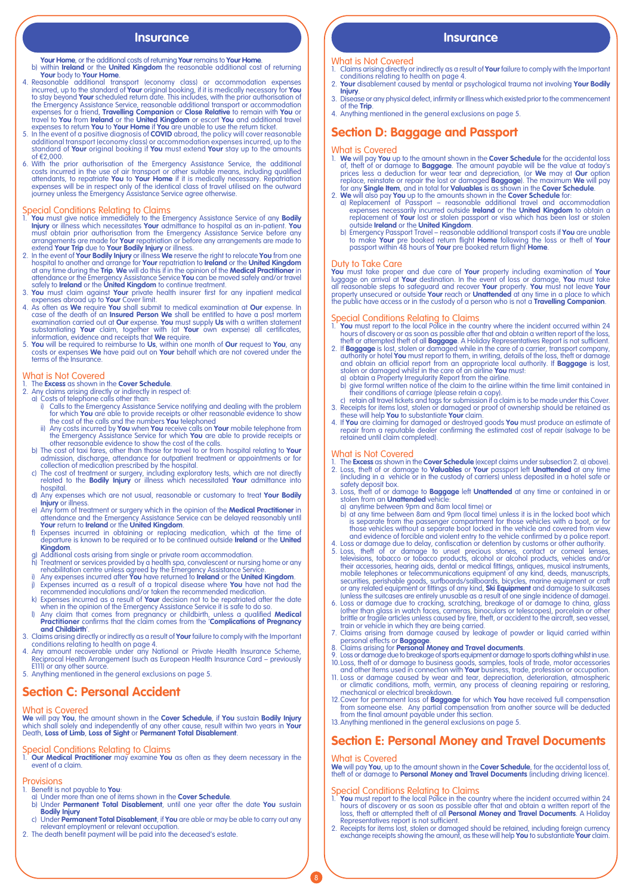- **Your Home**, or the additional costs of returning **Your** remains to **Your Home**. b) within **Ireland** or the **United Kingdom** the reasonable additional cost of returning
- **Your body to Your Home.**<br>4. Reasonable additional transport (economy class) or accommodation expenses<br>incurred, up to the standard of **Your** original booking, if it is medically necessary for **You**<br>to stay beyond **Your** s expenses for a friend, **Travelling Companion** or **Close Relative** to remain with You or<br>travel to You from **Ireland o**r the **United Kingdom** or escort You and additional travel<br>expenses to return You to Your Home if You ar
- additional transport (economy class) or accommodation expenses incurred, up to the standard of **Your** original booking if **You** must extend **Your** stay up to the amounts of €2,000.
- 6. With the prior authorisation of the Emergency Assistance Service, the additional costs incurred in the use of air transport or other suitable means, including qualified attendants, to repatriate You to Your Home if it i

- Special Conditions Relating to Claims<br>
1. You must give notice immediately to the Emergency Assistance Service of any **Bodily**<br>
1. You must give notice immediately to the Emergency Assistance Service of any **Bodily**<br>
1. Wo
- 
- 
- safely to **Ireland** or the **United Kingdom** to continue treatment.<br>
2. **You** must claim against **Your** private health insurer first for any inpatient medical<br>
expenses abroad up to **Your** Cover limit.<br>
4. As often as **We**
- substantiating **Your** claim, together with (at **Your** own expense) all certificates, information, evidence and receipts that **We** require.<br>5. **You** will be required to reimburse to **Us**, within one month of **Our** request t

# What is Not Covered<br>1. The **Excess** as shown in<br>2. Any claims arising direct

- 1. The **Excess** as shown in the **Cover Schedule**. 2. Any claims arising directly or indirectly in respect of: a) Costs of telephone calls other than:
- - i) Calls to the Emergency Assistance Service notifying and dealing with the problem<br>for which **You** are able to provide receipts or other reasonable evidence to show<br>the cost of the calls and the numbers **You** telephoned
	- ii) Any costs incurred by **You** when **You** receive calls on **Your** mobile telephone from<br>the Emergency Assistance Service for which **You** are able to provide receipts or<br>other reasonable evidence to show the cost of the ca
	-
	- admission, discharge, attendance for outpatient treatment or appointments or for<br>collection of medication prescribed by the hospital.<br>Che cost of treatment or surgery, including exploratory tests, which are not directly<br>re hospital.
	- d) Any expenses which are not usual, reasonable or customary to treat **Your Bodily Injury** or illness. e) Any form of treatment or surgery which in the opinion of the **Medical Practitioner** in
	-
	- offendance and the Emergency Assistance Service can be delayed reasonably until<br>**Your** return to **Ireland** or the **United Kingdom.**<br>f) Expenses incurred in obtaining or replacing medication, which at the time of<br>departure **Kingdom**.
	- g) Additional costs arising from single or private room accommodation.
	- h) Treatment or services provided by a health spa, convalescent or nursing home or any<br>rehabilitation centre unless agreed by the Emergency Assistance Service.<br>i) Any expenses incurred after You have returned to **Ireland**
	-
	-
- when in the opinion of the Emergency Assistance Service it is safe to do so.<br>Pany claim that comes from pregnancy or childbirth, unless a qualified **Medical ()**<br>Practitioner confirms that the claim comes from the '**Complic and Childbirth**'.
- 3. Claims arising directly or indirectly as a result of **Your** failure to comply with the Important<br>conditions relating to health on page 4.<br>Any amount recoverable under any National or Private Health Insurance Scheme,<br>Rec
- E111) or any other source.
- 5. Anything mentioned in the general exclusions on page 5.

# **Section C: Personal Accident**

## What is Covered

**We** will pay **You**, the amount shown in the **Cover Schedule**, if **You** sustain **Bodily Injury**<br>which shall solely and independently of any other cause, result within two years in **Your**<br>Death, **Loss of Limb, Loss of Sight** 

Special Conditions Relating to Claims 1. **Our Medical Practitioner** may examine **You** as often as they deem necessary in the event of a claim.

Provisions<br>1. Benefit is not payable to You:

- 1. Benefit is not payable to **You**: a) Under more than one of items shown in the **Cover Schedule**. b) Under **Permanent Total Disablement**, until one year after the date **You** sustain
- **Bodily Injury** c) Under **Permanent Total Disablement**, if **You** are able or may be able to carry out any
- relevant employment or relevant occupation. 2. The death benefit payment will be paid into the deceased's estate.
- 

## **Insurance Insurance**

### What is Not Covered

- 1. Claims arising directly or indirectly as a result of **Your** failure to comply with the Important conditions relating to health on page 4. 2. **Your** disablement caused by mental or psychological trauma not involving **Your Bodily**
- **Injury**. 3. Disease or any physical defect, infirmity or Illness which existed prior to the commencement
- 
- of the **Trip**. 4. Anything mentioned in the general exclusions on page 5.

# **Section D: Baggage and Passport**

- What is Covered 1. **We** will pay **You** up to the amount shown in the **Cover Schedule** for the accidental loss of, theft of or damage to **Baggage**. The amount payable will be the value at today's<br>prices less a deduction for wear tear and depreciation, (or **We** may at **Our** option<br>replace, reinstate or repair the lost or damaged **Ba**
- for any **Single Hem**, and in total for **Valuables** is as shown in the **Cover Schedule**.<br>2. We will also pay You up to the amounts shown in the **Cover Schedule** for:<br>2. We will also pay You up to the amounts shown in the **C** 
	-

Duty to Take Care<br>You must take proper and due care of Your property including examination of Your<br>luggage on arrival at Your destination. In the event of loss or damage, You must take<br>all reasonable steps to safeguard and

- 
- Special Conditions Relating to Claims<br>
1. You must report to the local Police in the country where the incident occurred within 24<br>
1. You must report of the local Police in the country where the incident occurred within 2
- 
- 
- 
- 4. If **You** are claiming for damaged or destroyed goods **You** must produce an estimate of repair from a reputable dealer confirming the estimated cost of repair (salvage to be retained until claim completed).

## What is Not Covered

- 1. The **Excess** as shown in the **Cover Schedule** (except claims under subsection 2. a) above).<br>2. Loss, theft of or damage to **Valuables** or Y**our** passport left Unattended at any time<br>including in a vehicle or in the cust
- safety deposit box. 3. Loss, theft of or damage to **Baggage** left **Unattended** at any time or contained in or stolen from an **Unattended** vehicle:
	- a) anytime between 9pm and 8am local time) or
- b) at any time between 8am and 9pm (local time) unless it is in the locked boot which is separate from the passenger compartment for those vehicles with a boot, or for
- those vehicles without a separate boot locked in the vehicle and covered from view<br>and evidence of forcible and violent entry to the vehicle confirmed by a police report.<br>4. Loss or damage due to delay, confiscation or det mobile telephones or telecommunications equipment of any kind, deeds, manuscripts,<br>securities, perishable goods, surfboards/sailboards, bicycles, marine equipment or craft<br>or any related equipment or fittings of any kind,
- 6. Loss or damage due to cracking, scratching, breakage of or damage to china, glass (other than glass in watch faces, cameras, binoculars or telescopes), porcelain or other brittle or fragile articles unless caused by fire, theft, or accident to the aircraft, sea vessel, train or vehicle in which they are being carried.
- 7. Claims arising from damage caused by leakage of powder or liquid carried within<br>personal effects or **Baggage.**<br>8. Claims arising for **Personal Money and Travel documents**.<br>9. Loss or damage due to breakage of sports equ
- 
- 
- 
- 11. Loss or damage caused by wear and tear, depreciation, deterioration, atmospheric or climatic conditions, moth, vermin, any process of cleaning repairing or restoring, mechanical or electrical breakdown.
- 12. Cover for permanent loss of **Baggage** for which **You** have received full compensation<br>from someone else. Any partial compensation from another source will be deducted<br>from the final amount payable under this section.<br>1
- 

# **Section E: Personal Money and Travel Documents**

8

What is Covered **We** will pay **You**, up to the amount shown in the **Cover Schedule**, for the accidental loss of, theft of or damage to **Personal Money and Travel Documents** (including driving licence).

- Special Conditions Relating to Claims<br>1. You must report to the local Police in the country where the incident occurred within 24<br>hours of discovery or as soon as possible after that and obtain a written report of the<br>loss
- Representatives report is not sufficient.<br>2. Receipts for items lost, stolen or damaged should be retained, including foreign currency.<br>exchange receipts showing the amount, as these will help **You** to substantiate **Your**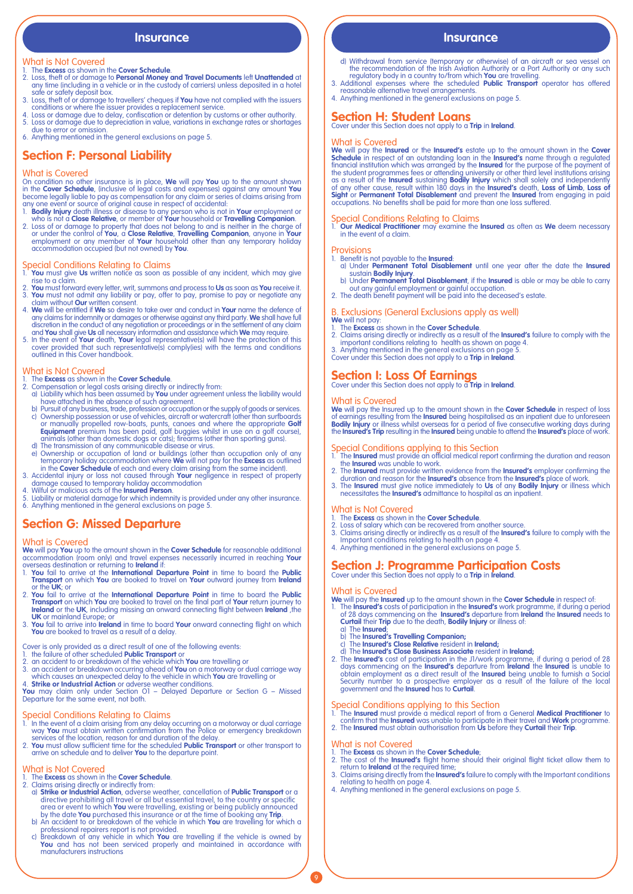## **Insurance Insurance Insurance**

## What is Not Covered

- 
- 1. The **Excess** as shown in the **Cover Schedule**.<br>2. Loss, theft of or damage to **Personal Money and Travel Documents** left **Unattended** at<br>any time (including in a vehicle or in the custody of carriers) unless deposited i safe or safety deposit box.
- 3. Loss, theft of or damage to travellers' cheques if **You** have not complied with the issuers conditions or where the issuer provides a replacement service.
- 4. Loss or damage due to delay, confiscation or detention by customs or other authority. 5. Loss or damage due to depreciation in value, variations in exchange rates or shortages due to error or omission.
- 6. Anything mentioned in the general exclusions on page 5.

# **Section F: Personal Liability**

## What is Covered

On condition no other insurance is in place, **We** will pay **You** up to the amount shown<br>in the **Cover Schedule**, (inclusive of legal costs and expenses) against any amount Y**ou**<br>become legally liable to pay as compensation

- 
- any one event or source of original cause in respect of accidental:<br>
1. **Bodily injury** death illness or disease to any person who is not a **Cose Relative**, or member of **Your** household or **Travelling Companion**.<br>
2. Loss

- Special Conditions Relating to Claims 1. **You** must give **Us** written notice as soon as possible of any incident, which may give rise to a claim.
- 2. **You** must forward every letter, writ, summons and process to **Us** as soon as **You** receive it. 3. **You** must not admit any liability or pay, offer to pay, promise to pay or negotiate any
- claim without **Our** written consent. 4. **We** will be entitled if **We** so desire to take over and conduct in **Your** name the defence of any claims for indemnity or damages or otherwise against any third party. **We** shall have full discretion in the conduct of any negotiation or proceedings or in the settlement of any claim
- and **You** shall give **Us** all necessary information and assistance which **We** may require. 5. In the event of **Your** death, **Your** legal representative(s) will have the protection of this cover provided that such representative(s) comply(ies) with the terms and conditions outlined in this Cover handbook.

- What is Not Covered 1. The **Excess** as shown in the **Cover Schedule**.
- 
- 
- 2. Compensation or legal costs arising directly or indirectly from:<br>
a) Liability would have been assumed by You under agreement<br>
have attached in the absence of such agreement.<br>
b) Pursuit of any business, trade, professi
- d) The transmission of any communicable disease or virus.<br>
e) Ownership or occupation of land or buildings (other than occupation only of any<br>
temporary holiday accommodation where We will not pay for the **Excess** as outli
- 
- 
- 4. Wilful or malicious acts of the **Insured Person**.<br>5. Liability or material damage for which indemnity is provided under any other insurance.<br>6. Anything mentioned in the general exclusions on page 5.
- 

# **Section G: Missed Departure**

## What is Covered

**We** will pay **You** up to the amount shown in the **Cover Schedule** for reasonable additional accommodation (room only) and travel expenses necessarily incurred in reaching **Your**

- overseas destination or returning to **Ireland** if: 1. **You** fail to arrive at the **International Departure Point** in time to board the **Public Transport** on which **You** are booked to travel on **Your** outward journey from **Ireland** or the **UK**; or
- 2. You fail to arrive at the **International Departure Point** in time to board the **Public<br>Transport** on which You are booked to travel on the final part of Your return journey to<br>**Ireland** or the UK, including missing an o
- 3. **You** fail to arrive into **Ireland** in time to board **Your** onward connecting flight on which **You** are booked to travel as a result of a delay.

Cover is only provided as a direct result of one of the following events:

- 
- 
- 1. the failure of other scheduled **Public Transport** or<br>2. an accident to or breakdown of the vehicle which **You** are travelling or<br>3. an accident or breakdown occurring ahead of **You** on a motorway or dual carriage way<br>3.

4. **Strike or Industrial Action** or adverse weather conditions.<br>**You** may claim only under Section O1 – Delayed Departure or Section G – Missed<br>Departure for the same event, not both.

- Special Conditions Relating to Claims 1. In the event of a claim arising from any delay occurring on a motorway or dual carriage way **You** must obtain written confirmation from the Police or emergency breakdown
- services of the location, reason for and duration of the delay.<br>2. **You** must allow sufficient time for the scheduled **Public Transport** or other transport to<br>arrive on schedule and to deliver **You** to the departure point.

- What is Not Covered<br>
1. The Excess as shown in the Cover Schedule.<br>
2. Claims arising directly or indirectly from:<br>
2. Claims arising directly or indirectly from:<br>
2. Claims arising directly or all but essential travel, to
	-
	-

- 
- d) Withdrawal from service (temporary or otherwise) of an aircraft or sea vessel on<br>the recommendation of the Irish Aviation Authority or a Port Authority or any such<br>regulatory body in a country to/from which **You** are tr
- 4. Anything mentioned in the general exclusions on page 5.

# **Section H: Student Loans**

Cover under this Section does not apply to a **Trip** in **Ireland**.

What is Covered<br>We will pay the Insured or the Insured's estate up to the amount shown in the Cover<br>Schedule in respect of an outstanding loan in the Insured's name through a regulated<br>Schedule in respect of an outstanding occupations. No benefits shall be paid for more than one loss suffered.

Special Conditions Relating to Claims 1. **Our Medical Practitioner** may examine the **Insured** as often as **We** deem necessary in the event of a claim.

## **Provisions**

- 1. Benefit is not payable to the **Insured**: a) Under **Permanent Total Disablement** until one year after the date the **Insured**
- sustain **Bodily Injury**. b) Under **Permanent Total Disablement**, if the **Insured** is able or may be able to carry out any gainful employment or gainful occupation. 2. The death benefit payment will be paid into the deceased's estate.
- 

## B. Exclusions (General Exclusions apply as well)

- We will not pay:<br>1. The **Excess** as shown in the Cover Schedule.<br>2. Claims arising directly or indirectly as a result of the Insured's failure to comply with the<br>2. important conditions relating to health as shown on page
- 
- 3. Anything mentioned in the general exclusions on page 5. Cover under this Section does not apply to a **Trip** in **Ireland**.
- 

# **Section I: Loss Of Earnings** Cover under this Section does not apply to a **Trip** in **Ireland**.

### What is Covered

**We** will pay the Insured up to the amount shown in the **Cover Schedule** in respect of loss<br>of earnings resulting from the **Insured** being hospitalised as an inpatient due to unforeseen<br>**Bodily Injury** or illness whilst ov the **Insured's Trip** resulting in the **Insured** being unable to attend the **Insured's** place of work.

- Special Conditions applying to this Section 1. The **Insured** must provide an official medical report confirming the duration and reason the **Insured** was unable to work. 2. The **Insured** must provide written evidence from the **Insured's** employer confirming the
- duration and reason for the **Insured's** absence from the **Insured's** place of work. 3. The **Insured** must give notice immediately to **Us** of any **Bodily Injury** or illness which
- necessitates the **Insured's** admittance to hospital as an inpatient.

## What is Not Covered

- 
- 1. The **Excess** as shown in the **Cover Schedule**.<br>2. Loss of salary which can be recovered from another source.<br>3. Claims arising directly or indirectly as a result of the **Insured's** failure to comply with the<br>1. Claims a
- 
- 

# **Section J: Programme Participation Costs** Cover under this Section does not apply to a **Trip** in **Ireland**.

### What is Covered

**We** will pay the **Insured** up to the amount shown in the **Cover Schedule** in respect of:

- 1. The **Insured's** costs of participation in the **Insured's** work programme, if during a period of 28 days commencing on the **Insured's departure from Ireland** the **Insured** needs to **Curtail** their **Trip** due to the death
	- a) The **Insured**;
	- b) The **Insured's Travelling Companion;** c) The **Insured's Close Relative** resident in **Ireland;**
	-
- d) The **Insured's Close Business Associate** resident in **Ireland;**<br>2. The **Insured's cost** of participation in the JJ/work programme, if during a period of 28 days commencing on the **Insured's** departure from **Ireland** the

- Special Conditions applying to this Section 1. The **Insured** must provide a medical report of from a General **Medical Practitioner** to confirm that the **Insured** was unable to participate in their travel and **Work** programme. 2. The **Insured** must obtain authorisation from **Us** before they **Curtail** their **Trip**.
- What is not Covered

9

- 
- 
- 1. The **Excess** as shown in the **Cover Schedule**;<br>
2. The cost of the **Insured's** flight home should their original flight ticket allow them to<br>
return to **Ireland at the required time**;<br>
3. Claims arising directly from th
-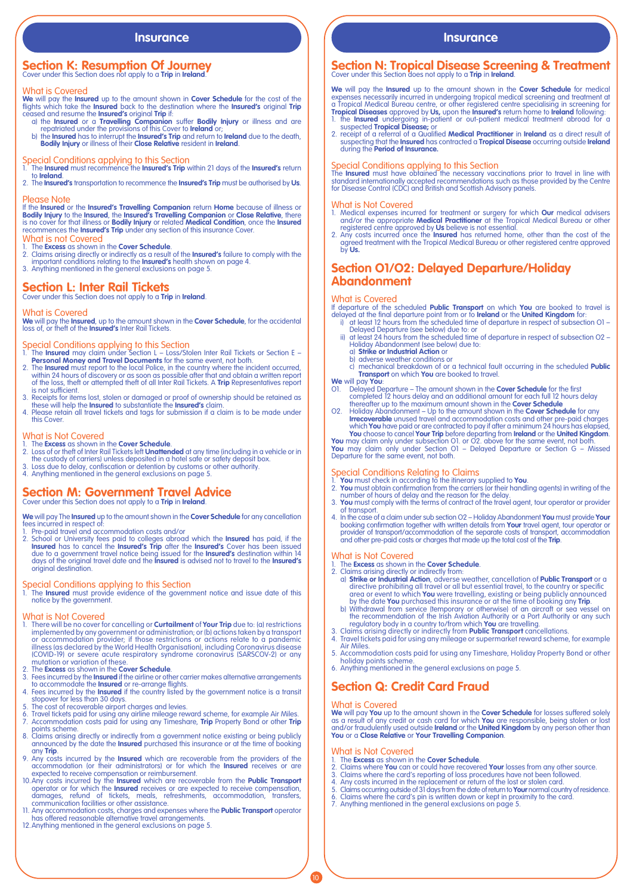# **Section K: Resumption Of Journey** Cover under this Section does not apply to a **Trip** in **Ireland**.

## What is Covered

We will pay the **Insured** up to the amount shown in **Cover Schedule** for the cost of the flights which take the **Insured** back to the destination where the **Insured's** original **Trip** conseded and resume the **Insured's** o

- 
- 

- Special Conditions applying to this Section 1. The **Insured** must recommence the **Insured's Trip** within 21 days of the **Insured's** return to **Ireland**. 2. The **Insured's** transportation to recommence the **Insured's Trip** must be authorised by **Us**.
- Please Note

# If the Insured or the Insured's Travelling Companion return Home because of illness or<br>Bodily Injury to the Insured, the Insured's Travelling Companion or Close Relative, there

is no cover for that illness or **Bodily Injury** or related **Medical Condition**, once the **Insured**  recommences the **Insured's Trip** under any section of this insurance Cover.

- What is not Covered<br>1. The Excess as shown in the Cover Schedule
- 1. The **Excess** as shown in the **Cover Schedule.**<br>2. Claims arising directly or indirectly as a result of the **Insured's** failure to comply with the<br>important conditions relating to the **Insured's** health shown on page 4.<br>
- **Section L: Inter Rail Tickets**

Cover under this Section does not apply to a **Trip** in **Ireland**.

### What is Covered

**We** will pay the **Insured**, up to the amount shown in the **Cover Schedule**, for the accidental loss of, or theft of the **Insured's** Inter Rail Tickets.

- Special Conditions applying to this Section<br>1. The Insured may claim under Section L Loss/Stolen Inter Rail Tickets or Section E –<br>• Personal Money and Travel Documents for the same event, not both.<br>2. The Insured must r
- within 24 hours of discovery or as soon as possible after that and obtain a written report of the loss, theft or attempted theft of all Inter Rail Tickets. A **Trip** Representatives report is not sufficient.
- 3. Receipts for items lost, stolen or damaged or proof of ownership should be retained as<br>these will help the **Insured** to substantiate the **Insured's** claim.<br>4. Please retain all travel tickets and tags for submission if
- this Cover.

- What is Not Covered<br>1. The Excess as shown in the Cover Schedule.
- 1. The **Excess** as shown in the **Cover Schedule**.<br>
2. Loss of or their of inter Rail Tickets left **Unattended** at any time (including in a vehicle or in<br>
the custody of carriers) unless deposited in a hotel safe or safety
- 
- 

## **Section M: Government Travel Advice** Cover under this Section does not apply to a **Trip** in **Ireland**.

**We** will pay The **Insured** up to the amount shown in the **Cover Schedule** for any cancellation

- fees incurred in respect of:<br>
1. Pre-paid travel and accommodation costs and/or
- 1. Pre-paid travel and accommodation costs and/or<br>2. School or University fees paid to colleges abroad which the **Insured** has paid, if the<br>**Insured** has to cancel the **Insured's Trip** after the **Insured's** Cover has been original destination.

Special Conditions applying to this Section 1. The **Insured** must provide evidence of the government notice and issue date of this notice by the government.

- What is Not Covered<br>1. There will be no cover for cancelling or **Curtailment** of **Your Trip** due to: (a) restrictions<br>implemented by any government or administration; or (b) actions taken by a transport<br>or accommodation pr (COVID-19) or severe acute respiratory syndrome coronavirus (SARSCOV-2) or any mutation or variation of these.
- 
- 2. The **Excess** as shown in the **Cover Schedule**.<br>3. Fees incurred by the **Insured** if the airline or other carrier makes alternative arrangements<br>to accommodate the **Insured** or re-arrange flights.<br>4. Fees incurred by the
- 
- 
- stopover for less than 30 days.<br>5. The cost of recoverable airport charges and levies.<br>6. Travel tickets paid for using any airline mileage reward scheme, for example Air Miles.<br>7. Accommodation costs paid for using any Ti
- points scheme. 8. Claims arising directly or indirectly from a government notice existing or being publicly announced by the date the **Insured** purchased this insurance or at the time of booking
- any **Trip**. 9. Any costs incurred by the **Insured** which are recoverable from the providers of the accommodation (or their administrators) or for which the **Insured** receives or are
- expected to receive compensation or reimbursement. 10.Any costs incurred by the **Insured** which are recoverable from the **Public Transport** operator or for which the **Insured** receives or are expected to receive compensation,<br>damages, refund of tickets, meals, refeshments, accommodation, transfers,<br>communication facilities or other assistance.
- 11. Any accommodation costs, charges and expenses where the **Public Transport** operator<br>has offered reasonable alternative travel arrangements.<br>12.Anything mentioned in the general exclusions on page 5.
- 

# **Insurance Insurance**

# **Section N: Tropical Disease Screening & Treatment** Cover under this Section does not apply to a **Trip** in **Ireland**.

**We** will pay the **Insured** up to the amount shown in the **Cover Schedule** for medical expenses necessarily incurred in undergoing tropical medical screening and treatment at<br>a Tropical Medical Bureau centre, or other registered centre specialising in screening for<br>**Tropical Diseases** approved by **Us**, upon

- 
- suspected **Tropical Disease;** or<br>2. receipt of a referral of a Qualified **Medical Practitioner** in **Ireland** as a direct result of<br>suspecting that the I**nsured** has contracted a **Tropical Disease** occurring outside **Irelan** during the **Period of Insurance.**

Special Conditions applying to this Section<br>The Insured must have obtained the necessary vaccinations prior to travel in line with<br>standard internationally accepted recommendations such as those provided by the Centre<br>for

- What is Not Covered<br>1. Medical expenses incurred for treatment or surgery for which **Our** medical advisers<br>2. Medical expension the appropriate **Medical Practitioner** at the Tropical Medical Bureau or other<br>registered cent
- agreed treatment with the Tropical Medical Bureau or other registered centre approved by **Us.**

# **Section O1/O2: Delayed Departure/Holiday Abandonment**

## What is Covered

If departure of the scheduled **Public Transport** on which **You** are booked to travel is

- delayed at the final departure point from or to **Ireland** or the **United Kingdom** for: i) at least 12 hours from the scheduled time of departure in respect of subsection O1 Delayed Departure (see below) due to: or ii) at least 24 hours from the scheduled time of departure in respect of subsection O2 –
	- Holiday Abandonment (see below) due to: a) **Strike or Industrial Action** or
		-
	- b) adverse weather conditions or c) mechanical breakdown of or a technical fault occurring in the scheduled **Public Transport** on which **You** are booked to travel.

## **We** will pay **You**:

- O1. Delayed Departure The amount shown in the **Cover Schedule** for the first completed 12 hours delay and an additional amount for each full 12 hours delay
- thereafter up to the maximum amount shown in the **Cover Schedule**<br>O2. Holiday Abandonment Up to the amount shown in the **Cover Schedule** for any<br>Irrecoverable unused travel and accommodation costs and other pre-paid char

**You** may claim only under Section O1 – Delayed Departure or Section G – Missed Departure for the same event, not both.

- 
- Special Conditions Relating to Claims<br>1. You must check in according to the itinerary supplied to You.<br>2. You must obtain confirmation from the carriers (or their handling agents) in writing of the<br>2. You must comply with
- of transport.
- 4. In the case of a claim under sub section O2 Holiday Abandonment You must provide Your<br>booking confirmation together with written details from Your travel agent, tour operator or<br>provider of transport/accommodation of

- What is Not Covered<br>1. The Excess as shown in the Cover Schedule. 1. The **Excess** as shown in the **Cover Schedule**. 2. Claims arising directly or indirectly from:
- d) **Strike or Industrial Action**, adverse weather, cancellation of **Public Transport** or a directive prohibiting all travel or all but essential travel, to the country or specific area or event to which **You** were travelli
	-
- 
- 
- Air Miles. 5. Accommodation costs paid for using any Timeshare, Holiday Property Bond or other
- holiday points scheme. 6. Anything mentioned in the general exclusions on page 5.

# **Section Q: Credit Card Fraud**

What is Covered<br>We will pay You up to the amount shown in the Cover Schedule for losses suffered solely<br>as a result of any credit or cash card for which You are responsible, being stolen or lost<br>and/or fraudulently used ou

- What is Not Covered<br>
1. The Excess as shown in the Cover Schedule.<br>
2. Claims where You can or could have recovered
- 
- 
- 1. The **Excess** as shown in the **Cover Schedule**.<br>2. Claims where **You** can or could have recovered **Your** losses from any other source.<br>3. Claims where the card's reporting of loss procedures have not been followed.<br>4. An
- 
- 7. Anything mentioned in the general exclusions on page 5.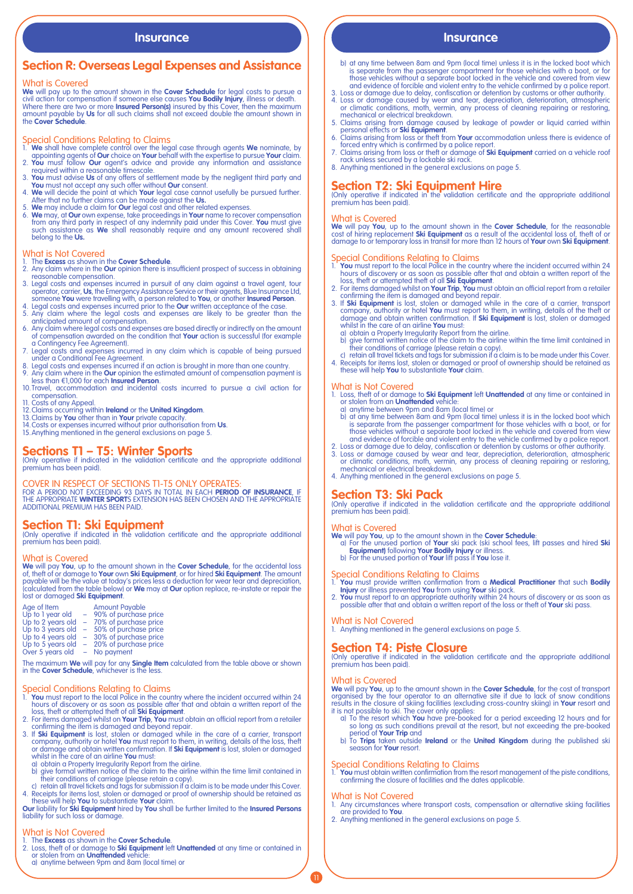# **Section R: Overseas Legal Expenses and Assistance**

## What is Covered

We will pay up to the amount shown in the Cover Schedule for legal costs to pursue a<br>civil action for compensation if someone else causes You Bodily Injury, illness or death.<br>Where there are two or more Insured Person(s) i the **Cover Schedule**.

- Special Conditions Relating to Claims<br>1. We shall have complete control over the legal case through agents We nominate, by<br>2. You must follow Our chicic on Your behalf with the expertise to pursue Your claim.<br>2. You must f
- 
- 
- 
- 3. You must advise Us of any offers of settlement made by the negligent third party and<br>You must not accept any such offer without Our consent.<br>4. We will decide the point at which Your legal case cannot usefully be pursue belong to the **Us.**

# What is Not Covered

- 1. The **Excess** as shown in the **Cover Schedule**. 2. Any claim where in the **Our** opinion there is insufficient prospect of success in obtaining
- reasonable compensation.<br>
2. Legal costs and expenses incurred in pursuit of any claim against a travel agent, tour<br>
operator, carrier, **Us**, the Emergency Assistance Service or their agents, Blue Insurance Ltd,<br>
someone
- 
- anticipated amount of compensation.<br>6. Any claim where legal costs and expenses are based directly or indirectly on the amount<br>of compensation awarded on the condition that **Your** action is successful (for example
- a Contingency Fee Agreement). 7. Legal costs and expenses incurred in any claim which is capable of being pursued under a Conditional Fee Agreement.
- 
- 8. Legal costs and expenses incurred if an action is brought in more than one country.<br>9. Any claim where in th**e Our** opinion the estimated amount of compensation payment is<br>less than €1,000 for each **Insured Person**.<br>10
- compensation. 11. Costs of any Appeal.
- 
- 
- 
- 12. Claims occurring within **Ireland** or the **United Kingdom**.<br>13. Claims by **You** other than in **Your** private capacity.<br>14. Costs or expenses incurred without prior authorisation from **Us**.<br>15. Anything mentioned in the

**Sections T1 – T5: Winter Sports** (Only operative if indicated in the validation certificate and the appropriate additional premium has been paid).

COVER IN RESPECT OF SECTIONS T1-T5 ONLY OPERATES:<br>for a period not exceeding 93 days in total in each **period of insurance**, if<br>the appropriate **winter sport**s extension has been chosen and the appropriate<br>additional premi

**Section T1: Ski Equipment** (Only operative if indicated in the validation certificate and the appropriate additional premium has been paid).

## What is Covered

We will pay You, up to the amount shown in the Cover Schedule, for the accidental loss of, theft of or damage to Your own Ski Equipment, or for hired Ski Equipment. The amount payable will be the value at today's prices le

| Age of Item       |        | <b>Amount Payable</b> |
|-------------------|--------|-----------------------|
| Up to 1 year old  |        | 90% of purchase price |
| Up to 2 years old | $\sim$ | 70% of purchase price |
| Up to 3 years old | $\sim$ | 50% of purchase price |
| Up to 4 years old | ÷      | 30% of purchase price |
| Up to 5 years old | ÷      | 20% of purchase price |
| Over 5 years old  |        | No payment            |

The maximum **We** will pay for any **Single Item** calculated from the table above or shown in the **Cover Schedule**, whichever is the less.

- Special Conditions Relating to Claims<br>
1. You must report to the local Police in the country where the incident occurred within 24<br>
house of discovery or as soon as possible after that and obtain a written report of the<br>
l
- 
- 
- whilst in the care of an airline **You** must:<br>a) obtain a Property Irregularity Report from the airline.<br>b) give formal written notice of the claim to the airline within the time limit contained in
- 
- their conditions of carriage (please retain a copy).<br>
c) retain all travel tickets and tags for submission if a claim is to be made under this Cover.<br>
4. Receipts for items lost, stolen or damaged or proof of ownership sho

# What is Not Covered

- 
- 1. The **Excess** as shown in the **Cover Schedule**. 2. Loss, theft of or damage to **Ski Equipment** left **Unattended** at any time or contained in or stolen from an **Unattended** vehicle:
	- a) anytime between 9pm and 8am (local time) or

# **Insurance Insurance Insurance Insurance**

- b) at any time between 8am and 9pm (local time) unless it is in the locked boot which<br>is separate from the passenger compartment for those vehicles with a boot, or for<br>those vehicles without a separate boot locked in the v
- and evidence of forcible and violent entry to the vehicle confirmed by a police report.<br>
3. Loss or damage due to delay, confiscation or detention by customs or other authority.<br>
4. Loss or damage caused by wear and tear,
- 
- 
- 

**Section T2: Ski Equipment Hire**<br>(Only operative if indicated in the validation certificate and the appropriate additional premium has been paid).

What is Covered **We** will pay **You**, up to the amount shown in the **Cover Schedule**, for the reasonable cost of hiring replacement **Ski Equipment** as a result of the accidental loss of, theft of or damage to or temporary loss in transit for more than 12 hours of **Your** own **Ski Equipment**.

- 
- 
- Special Conditions Relating to Claims<br>1. You must report to the local Police in the country where the incident occurred within 24<br>hours of discovery or as soon as possible after that and obtain a written report of the<br>loss
	-
- a) obtain a Property Irregularity Report from the airline.<br>
b) give formal written notice of the claim to the airline within the time limit contained in<br>
their conditions of carriage (please retain a copy).<br>
c) retain all

- What is Not Covered 1. Loss, theft of or damage to **Ski Equipment** left **Unattended** at any time or contained in or stolen from an **Unattended** vehicle:
	-
- a) anytime between 9pm and 8am (local time) or<br>b) at any time between 8am and 9pm (local time) unless it is in the locked boot which<br>is separate from the passenger compartment for those vehicles with a boot, or for<br>it is s
- 
- 3. Loss or damage caused by wear and tear, depreciation, deterioration, atmospheric or climatic conditions, moth, vermin, any process of cleaning repairing or restoring, mechanical or electrical breakdown.
- 4. Anything mentioned in the general exclusions on page 5.

**Section T3: Ski Pack** (Only operative if indicated in the validation certificate and the appropriate additional premium has been paid).

# What is Covered

- 
- We will pay You, up to the amount shown in the Cover Schedule:<br>
a) For the unused portion of Your ski pack (ski school fees, lift passes and hired Ski<br>
Equipment) following Your Bodily Injury or illness.<br>
by For the unused

- Special Conditions Relating to Claims 1. **You** must provide written confirmation from a **Medical Practitioner** that such **Bodily Injury** or illness prevented **You** from using **Your** ski pack.
- 2. **You** must report to an appropriate authority within 24 hours of discovery or as soon as possible after that and obtain a written report of the loss or theft of **Your** ski pass.

## What is Not Covered

1. Anything mentioned in the general exclusions on page 5.

**Section T4: Piste Closure**<br>(Only operative if indicated in the validation certificate and the appropriate additional premium has been paid).

## What is Covered

**We** will pay **You**, up to the amount shown in the **Cover Schedule**, for the cost of transport organised by the tour operator to an alternative site if due to lack of snow conditions results in the closure of skiing facilities (excluding cross-country skiing) in **Your** resort and

- it is not possible to ski. The cover only applies:<br>a) To the resort which **You** have pre-booked for a period exceeding 12 hours and for<br>so long as such conditions prevail at the resort, but not exceeding the pre-booked
- period of **Your Trip** and b) To **Trips** taken outside **Ireland** or the **United Kingdom** during the published ski season for **Your** resort.

Special Conditions Relating to Claims 1. **You** must obtain written confirmation from the resort management of the piste conditions, confirming the closure of facilities and the dates applicable.

## What is Not Covered

 $\mathbf 0$ 

- Any circumstances where transport costs, compensation or alternative skiing facilities are provided to You.
- are provided to **You**. 2. Anything mentioned in the general exclusions on page 5.